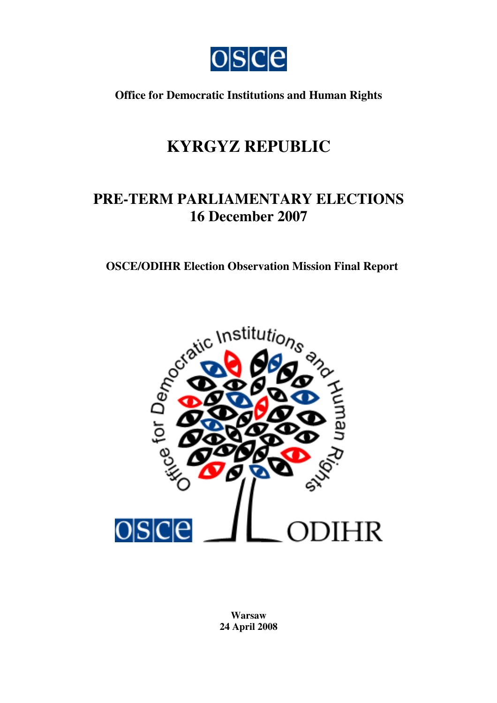

**Office for Democratic Institutions and Human Rights**

# **KYRGYZ REPUBLIC**

# **PRE-TERM PARLIAMENTARY ELECTIONS 16 December 2007**



**Warsaw 24 April 2008**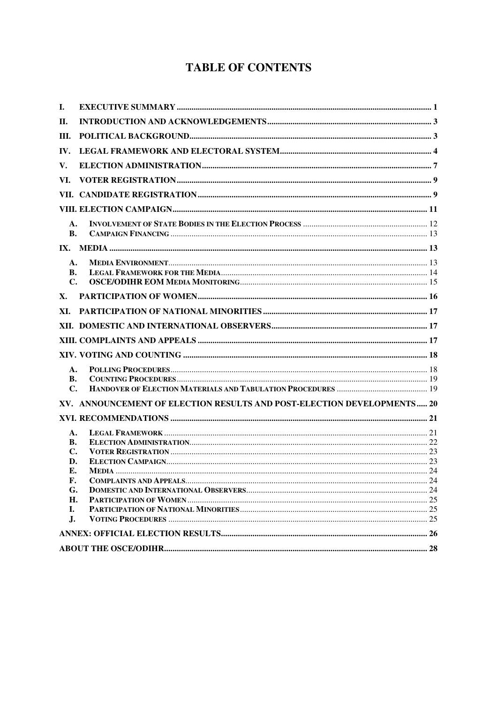## **TABLE OF CONTENTS**

| I.              |                                                                        |  |
|-----------------|------------------------------------------------------------------------|--|
| Н.              |                                                                        |  |
| III.            |                                                                        |  |
| IV.             |                                                                        |  |
| V.              |                                                                        |  |
| VI.             |                                                                        |  |
|                 |                                                                        |  |
|                 |                                                                        |  |
| A.<br><b>B.</b> |                                                                        |  |
|                 |                                                                        |  |
| A.              |                                                                        |  |
| В.              |                                                                        |  |
| $\mathbf{C}$ .  |                                                                        |  |
| X.              |                                                                        |  |
| XI.             |                                                                        |  |
|                 |                                                                        |  |
|                 |                                                                        |  |
|                 |                                                                        |  |
| A.              |                                                                        |  |
| В.              |                                                                        |  |
| $\mathbf{C}$    |                                                                        |  |
|                 | XV. ANNOUNCEMENT OF ELECTION RESULTS AND POST-ELECTION DEVELOPMENTS 20 |  |
|                 |                                                                        |  |
| A.              |                                                                        |  |
| В.              |                                                                        |  |
| $\mathbf{C}$ .  |                                                                        |  |
| D.              |                                                                        |  |
| Е.              |                                                                        |  |
| F.              |                                                                        |  |
| G.              |                                                                        |  |
| Н.              |                                                                        |  |
| Ι.<br>J.        |                                                                        |  |
|                 |                                                                        |  |
|                 |                                                                        |  |
|                 |                                                                        |  |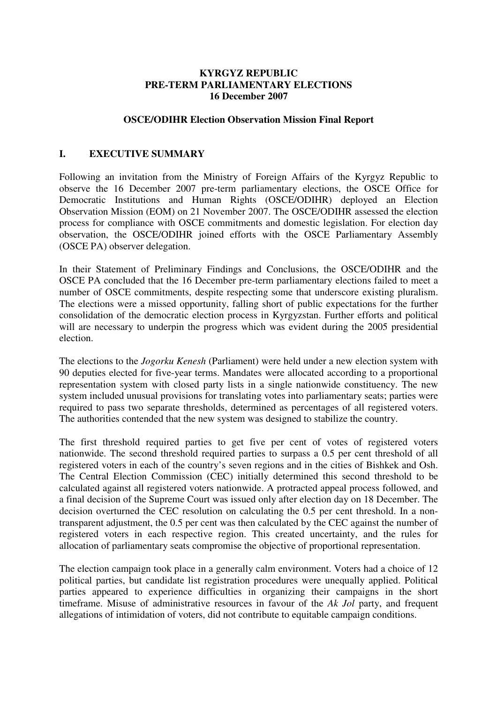#### **KYRGYZ REPUBLIC PRE-TERM PARLIAMENTARY ELECTIONS 16 December 2007**

#### **OSCE/ODIHR Election Observation Mission Final Report**

#### **I. EXECUTIVE SUMMARY**

Following an invitation from the Ministry of Foreign Affairs of the Kyrgyz Republic to observe the 16 December 2007 pre-term parliamentary elections, the OSCE Office for Democratic Institutions and Human Rights (OSCE/ODIHR) deployed an Election Observation Mission (EOM) on 21 November 2007. The OSCE/ODIHR assessed the election process for compliance with OSCE commitments and domestic legislation. For election day observation, the OSCE/ODIHR joined efforts with the OSCE Parliamentary Assembly (OSCE PA) observer delegation.

In their Statement of Preliminary Findings and Conclusions, the OSCE/ODIHR and the OSCE PA concluded that the 16 December pre-term parliamentary elections failed to meet a number of OSCE commitments, despite respecting some that underscore existing pluralism. The elections were a missed opportunity, falling short of public expectations for the further consolidation of the democratic election process in Kyrgyzstan. Further efforts and political will are necessary to underpin the progress which was evident during the 2005 presidential election.

The elections to the *Jogorku Kenesh* (Parliament) were held under a new election system with 90 deputies elected for five-year terms. Mandates were allocated according to a proportional representation system with closed party lists in a single nationwide constituency. The new system included unusual provisions for translating votes into parliamentary seats; parties were required to pass two separate thresholds, determined as percentages of all registered voters. The authorities contended that the new system was designed to stabilize the country.

The first threshold required parties to get five per cent of votes of registered voters nationwide. The second threshold required parties to surpass a 0.5 per cent threshold of all registered voters in each of the country's seven regions and in the cities of Bishkek and Osh. The Central Election Commission (CEC) initially determined this second threshold to be calculated against all registered voters nationwide. A protracted appeal process followed, and a final decision of the Supreme Court was issued only after election day on 18 December. The decision overturned the CEC resolution on calculating the 0.5 per cent threshold. In a nontransparent adjustment, the 0.5 per cent was then calculated by the CEC against the number of registered voters in each respective region. This created uncertainty, and the rules for allocation of parliamentary seats compromise the objective of proportional representation.

The election campaign took place in a generally calm environment. Voters had a choice of 12 political parties, but candidate list registration procedures were unequally applied. Political parties appeared to experience difficulties in organizing their campaigns in the short timeframe. Misuse of administrative resources in favour of the *Ak Jol* party, and frequent allegations of intimidation of voters, did not contribute to equitable campaign conditions.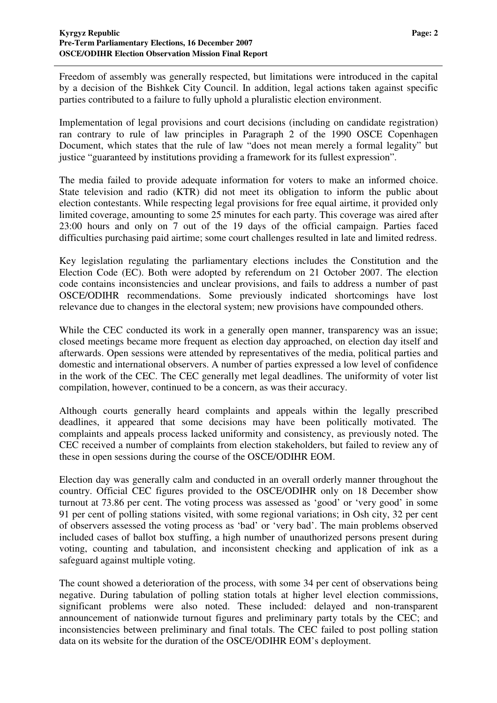Freedom of assembly was generally respected, but limitations were introduced in the capital by a decision of the Bishkek City Council. In addition, legal actions taken against specific parties contributed to a failure to fully uphold a pluralistic election environment.

Implementation of legal provisions and court decisions (including on candidate registration) ran contrary to rule of law principles in Paragraph 2 of the 1990 OSCE Copenhagen Document, which states that the rule of law "does not mean merely a formal legality" but justice "guaranteed by institutions providing a framework for its fullest expression".

The media failed to provide adequate information for voters to make an informed choice. State television and radio (KTR) did not meet its obligation to inform the public about election contestants. While respecting legal provisions for free equal airtime, it provided only limited coverage, amounting to some 25 minutes for each party. This coverage was aired after 23:00 hours and only on 7 out of the 19 days of the official campaign. Parties faced difficulties purchasing paid airtime; some court challenges resulted in late and limited redress.

Key legislation regulating the parliamentary elections includes the Constitution and the Election Code (EC). Both were adopted by referendum on 21 October 2007. The election code contains inconsistencies and unclear provisions, and fails to address a number of past OSCE/ODIHR recommendations. Some previously indicated shortcomings have lost relevance due to changes in the electoral system; new provisions have compounded others.

While the CEC conducted its work in a generally open manner, transparency was an issue; closed meetings became more frequent as election day approached, on election day itself and afterwards. Open sessions were attended by representatives of the media, political parties and domestic and international observers. A number of parties expressed a low level of confidence in the work of the CEC. The CEC generally met legal deadlines. The uniformity of voter list compilation, however, continued to be a concern, as was their accuracy.

Although courts generally heard complaints and appeals within the legally prescribed deadlines, it appeared that some decisions may have been politically motivated. The complaints and appeals process lacked uniformity and consistency, as previously noted. The CEC received a number of complaints from election stakeholders, but failed to review any of these in open sessions during the course of the OSCE/ODIHR EOM.

Election day was generally calm and conducted in an overall orderly manner throughout the country. Official CEC figures provided to the OSCE/ODIHR only on 18 December show turnout at 73.86 per cent. The voting process was assessed as 'good' or 'very good' in some 91 per cent of polling stations visited, with some regional variations; in Osh city, 32 per cent of observers assessed the voting process as 'bad' or 'very bad'. The main problems observed included cases of ballot box stuffing, a high number of unauthorized persons present during voting, counting and tabulation, and inconsistent checking and application of ink as a safeguard against multiple voting.

The count showed a deterioration of the process, with some 34 per cent of observations being negative. During tabulation of polling station totals at higher level election commissions, significant problems were also noted. These included: delayed and non-transparent announcement of nationwide turnout figures and preliminary party totals by the CEC; and inconsistencies between preliminary and final totals. The CEC failed to post polling station data on its website for the duration of the OSCE/ODIHR EOM's deployment.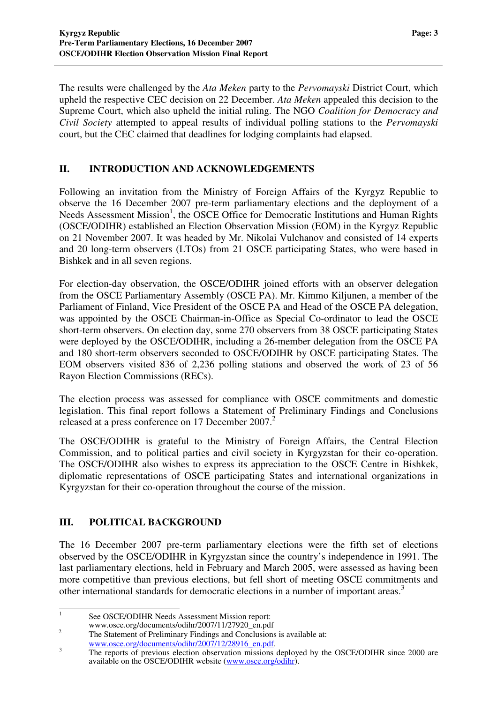The results were challenged by the *Ata Meken* party to the *Pervomayski* District Court, which upheld the respective CEC decision on 22 December. *Ata Meken* appealed this decision to the Supreme Court, which also upheld the initial ruling. The NGO *Coalition for Democracy and Civil Society* attempted to appeal results of individual polling stations to the *Pervomayski* court, but the CEC claimed that deadlines for lodging complaints had elapsed.

#### **II. INTRODUCTION AND ACKNOWLEDGEMENTS**

Following an invitation from the Ministry of Foreign Affairs of the Kyrgyz Republic to observe the 16 December 2007 pre-term parliamentary elections and the deployment of a Needs Assessment Mission<sup>1</sup>, the OSCE Office for Democratic Institutions and Human Rights (OSCE/ODIHR) established an Election Observation Mission (EOM) in the Kyrgyz Republic on 21 November 2007. It was headed by Mr. Nikolai Vulchanov and consisted of 14 experts and 20 long-term observers (LTOs) from 21 OSCE participating States, who were based in Bishkek and in all seven regions.

For election-day observation, the OSCE/ODIHR joined efforts with an observer delegation from the OSCE Parliamentary Assembly (OSCE PA). Mr. Kimmo Kiljunen, a member of the Parliament of Finland, Vice President of the OSCE PA and Head of the OSCE PA delegation, was appointed by the OSCE Chairman-in-Office as Special Co-ordinator to lead the OSCE short-term observers. On election day, some 270 observers from 38 OSCE participating States were deployed by the OSCE/ODIHR, including a 26-member delegation from the OSCE PA and 180 short-term observers seconded to OSCE/ODIHR by OSCE participating States. The EOM observers visited 836 of 2,236 polling stations and observed the work of 23 of 56 Rayon Election Commissions (RECs).

The election process was assessed for compliance with OSCE commitments and domestic legislation. This final report follows a Statement of Preliminary Findings and Conclusions released at a press conference on 17 December 2007. 2

The OSCE/ODIHR is grateful to the Ministry of Foreign Affairs, the Central Election Commission, and to political parties and civil society in Kyrgyzstan for their co-operation. The OSCE/ODIHR also wishes to express its appreciation to the OSCE Centre in Bishkek, diplomatic representations of OSCE participating States and international organizations in Kyrgyzstan for their co-operation throughout the course of the mission.

### **III. POLITICAL BACKGROUND**

The 16 December 2007 pre-term parliamentary elections were the fifth set of elections observed by the OSCE/ODIHR in Kyrgyzstan since the country's independence in 1991. The last parliamentary elections, held in February and March 2005, were assessed as having been more competitive than previous elections, but fell short of meeting OSCE commitments and other international standards for democratic elections in a number of important areas.<sup>3</sup>

1 See OSCE/ODIHR Needs Assessment Mission report:

www.osce.org/documents/odihr/2007/11/27920\_en.pdf

<sup>&</sup>lt;sup>2</sup> The Statement of Preliminary Findings and Conclusions is available at: www.osce.org/documents/odihr/2007/12/28916\_en.pdf.

<sup>&</sup>lt;sup>3</sup> The reports of previous election observation missions deployed by the OSCE/ODIHR since 2000 are available on the OSCE/ODIHR website (www.osce.org/odihr).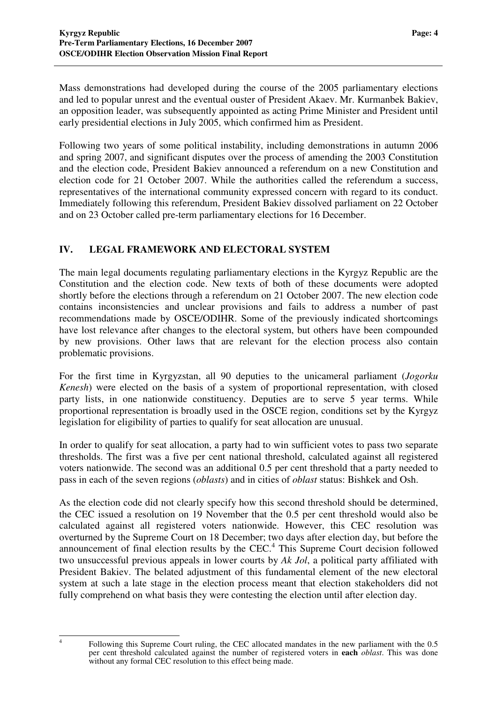Mass demonstrations had developed during the course of the 2005 parliamentary elections and led to popular unrest and the eventual ouster of President Akaev. Mr. Kurmanbek Bakiev, an opposition leader, was subsequently appointed as acting Prime Minister and President until early presidential elections in July 2005, which confirmed him as President.

Following two years of some political instability, including demonstrations in autumn 2006 and spring 2007, and significant disputes over the process of amending the 2003 Constitution and the election code, President Bakiev announced a referendum on a new Constitution and election code for 21 October 2007. While the authorities called the referendum a success, representatives of the international community expressed concern with regard to its conduct. Immediately following this referendum, President Bakiev dissolved parliament on 22 October and on 23 October called pre-term parliamentary elections for 16 December.

#### **IV. LEGAL FRAMEWORK AND ELECTORAL SYSTEM**

The main legal documents regulating parliamentary elections in the Kyrgyz Republic are the Constitution and the election code. New texts of both of these documents were adopted shortly before the elections through a referendum on 21 October 2007. The new election code contains inconsistencies and unclear provisions and fails to address a number of past recommendations made by OSCE/ODIHR. Some of the previously indicated shortcomings have lost relevance after changes to the electoral system, but others have been compounded by new provisions. Other laws that are relevant for the election process also contain problematic provisions.

For the first time in Kyrgyzstan, all 90 deputies to the unicameral parliament (*Jogorku Kenesh*) were elected on the basis of a system of proportional representation, with closed party lists, in one nationwide constituency. Deputies are to serve 5 year terms. While proportional representation is broadly used in the OSCE region, conditions set by the Kyrgyz legislation for eligibility of parties to qualify for seat allocation are unusual.

In order to qualify for seat allocation, a party had to win sufficient votes to pass two separate thresholds. The first was a five per cent national threshold, calculated against all registered voters nationwide. The second was an additional 0.5 per cent threshold that a party needed to pass in each of the seven regions (*oblasts*) and in cities of *oblast* status: Bishkek and Osh.

As the election code did not clearly specify how this second threshold should be determined, the CEC issued a resolution on 19 November that the 0.5 per cent threshold would also be calculated against all registered voters nationwide. However, this CEC resolution was overturned by the Supreme Court on 18 December; two days after election day, but before the announcement of final election results by the CEC. 4 This Supreme Court decision followed two unsuccessful previous appeals in lower courts by *Ak Jol*, a political party affiliated with President Bakiev. The belated adjustment of this fundamental element of the new electoral system at such a late stage in the election process meant that election stakeholders did not fully comprehend on what basis they were contesting the election until after election day.

<sup>4</sup>

Following this Supreme Court ruling, the CEC allocated mandates in the new parliament with the 0.5 per cent threshold calculated against the number of registered voters in **each** *oblast*. This was done without any formal CEC resolution to this effect being made.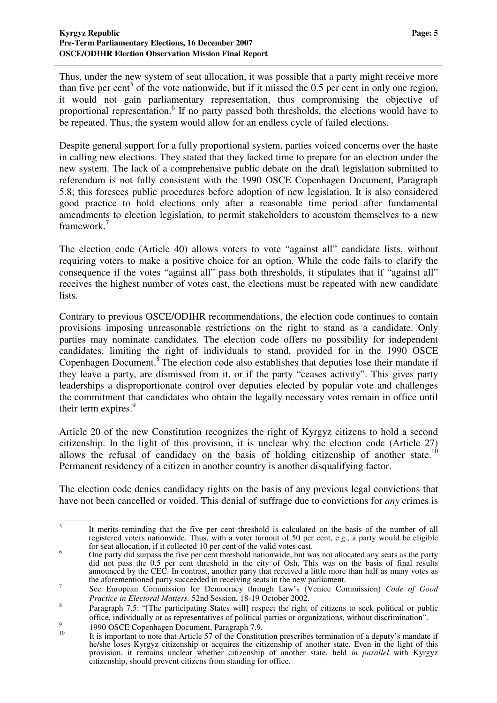Thus, under the new system of seat allocation, it was possible that a party might receive more than five per cent<sup>5</sup> of the vote nationwide, but if it missed the 0.5 per cent in only one region, it would not gain parliamentary representation, thus compromising the objective of proportional representation.<sup>6</sup> If no party passed both thresholds, the elections would have to be repeated. Thus, the system would allow for an endless cycle of failed elections.

Despite general support for a fully proportional system, parties voiced concerns over the haste in calling new elections. They stated that they lacked time to prepare for an election under the new system. The lack of a comprehensive public debate on the draft legislation submitted to referendum is not fully consistent with the 1990 OSCE Copenhagen Document, Paragraph 5.8; this foresees public procedures before adoption of new legislation. It is also considered good practice to hold elections only after a reasonable time period after fundamental amendments to election legislation, to permit stakeholders to accustom themselves to a new framework. 7

The election code (Article 40) allows voters to vote "against all" candidate lists, without requiring voters to make a positive choice for an option. While the code fails to clarify the consequence if the votes "against all" pass both thresholds, it stipulates that if "against all" receives the highest number of votes cast, the elections must be repeated with new candidate lists.

Contrary to previous OSCE/ODIHR recommendations, the election code continues to contain provisions imposing unreasonable restrictions on the right to stand as a candidate. Only parties may nominate candidates. The election code offers no possibility for independent candidates, limiting the right of individuals to stand, provided for in the 1990 OSCE Copenhagen Document. 8 The election code also establishes that deputies lose their mandate if they leave a party, are dismissed from it, or if the party "ceases activity". This gives party leaderships a disproportionate control over deputies elected by popular vote and challenges the commitment that candidates who obtain the legally necessary votes remain in office until their term expires.<sup>9</sup>

Article 20 of the new Constitution recognizes the right of Kyrgyz citizens to hold a second citizenship. In the light of this provision, it is unclear why the election code (Article 27) allows the refusal of candidacy on the basis of holding citizenship of another state.<sup>10</sup> Permanent residency of a citizen in another country is another disqualifying factor.

The election code denies candidacy rights on the basis of any previous legal convictions that have not been cancelled or voided. This denial of suffrage due to convictions for *any* crimes is

<sup>5</sup> It merits reminding that the five per cent threshold is calculated on the basis of the number of all registered voters nationwide. Thus, with a voter turnout of 50 per cent, e.g., a party would be eligible for seat allocation, if it collected  $10$  per cent of the valid votes cast.

<sup>&</sup>lt;sup>6</sup><br><sup>6</sup> One party did surpass the five per cent threshold nationwide, but was not allocated any seats as the party did not pass the 0.5 per cent threshold in the city of Osh. This was on the basis of final results announced by the CEC. In contrast, another party that received a little more than half as many votes as the aforementioned party succeeded in receiving seats in the new parliament.

<sup>7</sup> See European Commission for Democracy through Law's (Venice Commission) *Code of Good Practice in Electoral Matters.* 52nd Session, 18-19 October 2002.

<sup>8</sup> Paragraph 7.5: "[The participating States will] respect the right of citizens to seek political or public office, individually or as representatives of political parties or organizations, without discrimination".  $\overline{9}$ 

<sup>1990</sup> OSCE Copenhagen Document, Paragraph 7.9.

<sup>10</sup> It is important to note that Article 57 of the Constitution prescribes termination of a deputy's mandate if he/she loses Kyrgyz citizenship or acquires the citizenship of another state. Even in the light of this provision, it remains unclear whether citizenship of another state, held *in parallel* with Kyrgyz citizenship, should prevent citizens from standing for office.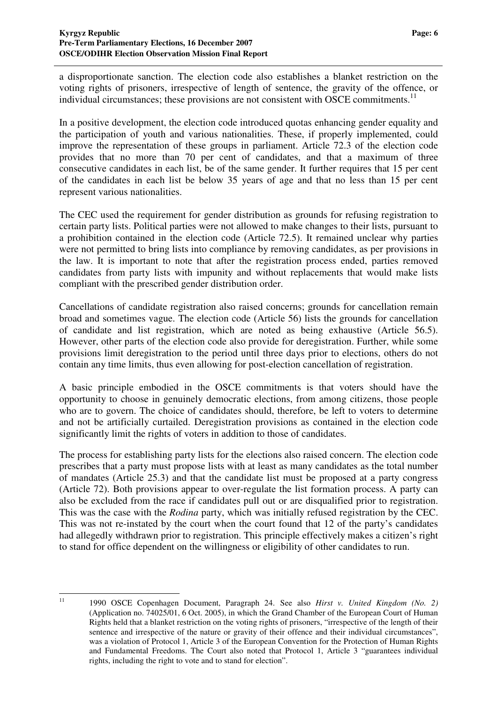a disproportionate sanction. The election code also establishes a blanket restriction on the voting rights of prisoners, irrespective of length of sentence, the gravity of the offence, or individual circumstances; these provisions are not consistent with OSCE commitments.<sup>11</sup>

In a positive development, the election code introduced quotas enhancing gender equality and the participation of youth and various nationalities. These, if properly implemented, could improve the representation of these groups in parliament. Article 72.3 of the election code provides that no more than 70 per cent of candidates, and that a maximum of three consecutive candidates in each list, be of the same gender. It further requires that 15 per cent of the candidates in each list be below 35 years of age and that no less than 15 per cent represent various nationalities.

The CEC used the requirement for gender distribution as grounds for refusing registration to certain party lists. Political parties were not allowed to make changes to their lists, pursuant to a prohibition contained in the election code (Article 72.5). It remained unclear why parties were not permitted to bring lists into compliance by removing candidates, as per provisions in the law. It is important to note that after the registration process ended, parties removed candidates from party lists with impunity and without replacements that would make lists compliant with the prescribed gender distribution order.

Cancellations of candidate registration also raised concerns; grounds for cancellation remain broad and sometimes vague. The election code (Article 56) lists the grounds for cancellation of candidate and list registration, which are noted as being exhaustive (Article 56.5). However, other parts of the election code also provide for deregistration. Further, while some provisions limit deregistration to the period until three days prior to elections, others do not contain any time limits, thus even allowing for post-election cancellation of registration.

A basic principle embodied in the OSCE commitments is that voters should have the opportunity to choose in genuinely democratic elections, from among citizens, those people who are to govern. The choice of candidates should, therefore, be left to voters to determine and not be artificially curtailed. Deregistration provisions as contained in the election code significantly limit the rights of voters in addition to those of candidates.

The process for establishing party lists for the elections also raised concern. The election code prescribes that a party must propose lists with at least as many candidates as the total number of mandates (Article 25.3) and that the candidate list must be proposed at a party congress (Article 72). Both provisions appear to over-regulate the list formation process. A party can also be excluded from the race if candidates pull out or are disqualified prior to registration. This was the case with the *Rodina* party, which was initially refused registration by the CEC. This was not re-instated by the court when the court found that 12 of the party's candidates had allegedly withdrawn prior to registration. This principle effectively makes a citizen's right to stand for office dependent on the willingness or eligibility of other candidates to run.

<sup>11</sup> 1990 OSCE Copenhagen Document, Paragraph 24. See also *Hirst v. United Kingdom (No. 2)* (Application no. 74025/01, 6 Oct. 2005), in which the Grand Chamber of the European Court of Human Rights held that a blanket restriction on the voting rights of prisoners, "irrespective of the length of their sentence and irrespective of the nature or gravity of their offence and their individual circumstances", was a violation of Protocol 1, Article 3 of the European Convention for the Protection of Human Rights and Fundamental Freedoms. The Court also noted that Protocol 1, Article 3 "guarantees individual rights, including the right to vote and to stand for election".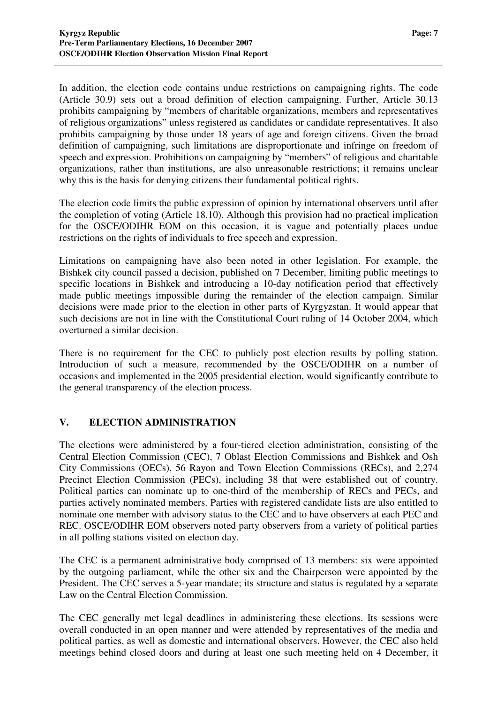In addition, the election code contains undue restrictions on campaigning rights. The code (Article 30.9) sets out a broad definition of election campaigning. Further, Article 30.13 prohibits campaigning by "members of charitable organizations, members and representatives of religious organizations" unless registered as candidates or candidate representatives. It also prohibits campaigning by those under 18 years of age and foreign citizens. Given the broad definition of campaigning, such limitations are disproportionate and infringe on freedom of speech and expression. Prohibitions on campaigning by "members" of religious and charitable organizations, rather than institutions, are also unreasonable restrictions; it remains unclear why this is the basis for denying citizens their fundamental political rights.

The election code limits the public expression of opinion by international observers until after the completion of voting (Article 18.10). Although this provision had no practical implication for the OSCE/ODIHR EOM on this occasion, it is vague and potentially places undue restrictions on the rights of individuals to free speech and expression.

Limitations on campaigning have also been noted in other legislation. For example, the Bishkek city council passed a decision, published on 7 December, limiting public meetings to specific locations in Bishkek and introducing a 10-day notification period that effectively made public meetings impossible during the remainder of the election campaign. Similar decisions were made prior to the election in other parts of Kyrgyzstan. It would appear that such decisions are not in line with the Constitutional Court ruling of 14 October 2004, which overturned a similar decision.

There is no requirement for the CEC to publicly post election results by polling station. Introduction of such a measure, recommended by the OSCE/ODIHR on a number of occasions and implemented in the 2005 presidential election, would significantly contribute to the general transparency of the election process.

#### **V. ELECTION ADMINISTRATION**

The elections were administered by a four-tiered election administration, consisting of the Central Election Commission (CEC), 7 Oblast Election Commissions and Bishkek and Osh City Commissions (OECs), 56 Rayon and Town Election Commissions (RECs), and 2,274 Precinct Election Commission (PECs), including 38 that were established out of country. Political parties can nominate up to one-third of the membership of RECs and PECs, and parties actively nominated members. Parties with registered candidate lists are also entitled to nominate one member with advisory status to the CEC and to have observers at each PEC and REC. OSCE/ODIHR EOM observers noted party observers from a variety of political parties in all polling stations visited on election day.

The CEC is a permanent administrative body comprised of 13 members: six were appointed by the outgoing parliament, while the other six and the Chairperson were appointed by the President. The CEC serves a 5-year mandate; its structure and status is regulated by a separate Law on the Central Election Commission.

The CEC generally met legal deadlines in administering these elections. Its sessions were overall conducted in an open manner and were attended by representatives of the media and political parties, as well as domestic and international observers. However, the CEC also held meetings behind closed doors and during at least one such meeting held on 4 December, it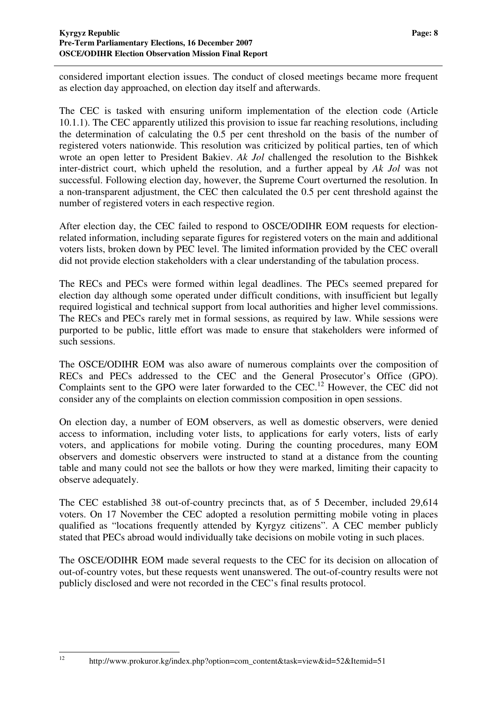considered important election issues. The conduct of closed meetings became more frequent as election day approached, on election day itself and afterwards.

The CEC is tasked with ensuring uniform implementation of the election code (Article 10.1.1). The CEC apparently utilized this provision to issue far reaching resolutions, including the determination of calculating the 0.5 per cent threshold on the basis of the number of registered voters nationwide. This resolution was criticized by political parties, ten of which wrote an open letter to President Bakiev. *Ak Jol* challenged the resolution to the Bishkek inter-district court, which upheld the resolution, and a further appeal by *Ak Jol* was not successful. Following election day, however, the Supreme Court overturned the resolution. In a non-transparent adjustment, the CEC then calculated the 0.5 per cent threshold against the number of registered voters in each respective region.

After election day, the CEC failed to respond to OSCE/ODIHR EOM requests for electionrelated information, including separate figures for registered voters on the main and additional voters lists, broken down by PEC level. The limited information provided by the CEC overall did not provide election stakeholders with a clear understanding of the tabulation process.

The RECs and PECs were formed within legal deadlines. The PECs seemed prepared for election day although some operated under difficult conditions, with insufficient but legally required logistical and technical support from local authorities and higher level commissions. The RECs and PECs rarely met in formal sessions, as required by law. While sessions were purported to be public, little effort was made to ensure that stakeholders were informed of such sessions.

The OSCE/ODIHR EOM was also aware of numerous complaints over the composition of RECs and PECs addressed to the CEC and the General Prosecutor's Office (GPO). Complaints sent to the GPO were later forwarded to the CEC.<sup>12</sup> However, the CEC did not consider any of the complaints on election commission composition in open sessions.

On election day, a number of EOM observers, as well as domestic observers, were denied access to information, including voter lists, to applications for early voters, lists of early voters, and applications for mobile voting. During the counting procedures, many EOM observers and domestic observers were instructed to stand at a distance from the counting table and many could not see the ballots or how they were marked, limiting their capacity to observe adequately.

The CEC established 38 out-of-country precincts that, as of 5 December, included 29,614 voters. On 17 November the CEC adopted a resolution permitting mobile voting in places qualified as "locations frequently attended by Kyrgyz citizens". A CEC member publicly stated that PECs abroad would individually take decisions on mobile voting in such places.

The OSCE/ODIHR EOM made several requests to the CEC for its decision on allocation of out-of-country votes, but these requests went unanswered. The out-of-country results were not publicly disclosed and were not recorded in the CEC's final results protocol.

http://www.prokuror.kg/index.php?option=com\_content&task=view&id=52&Itemid=51

 $12$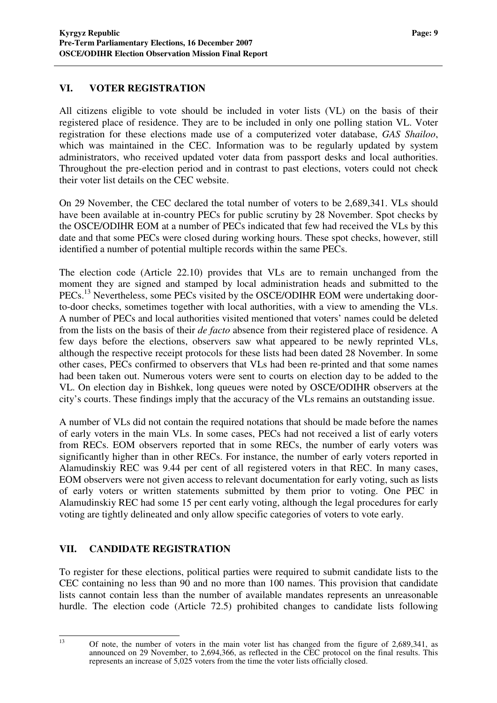#### **VI. VOTER REGISTRATION**

All citizens eligible to vote should be included in voter lists (VL) on the basis of their registered place of residence. They are to be included in only one polling station VL. Voter registration for these elections made use of a computerized voter database, *GAS Shailoo*, which was maintained in the CEC. Information was to be regularly updated by system administrators, who received updated voter data from passport desks and local authorities. Throughout the pre-election period and in contrast to past elections, voters could not check their voter list details on the CEC website.

On 29 November, the CEC declared the total number of voters to be 2,689,341. VLs should have been available at in-country PECs for public scrutiny by 28 November. Spot checks by the OSCE/ODIHR EOM at a number of PECs indicated that few had received the VLs by this date and that some PECs were closed during working hours. These spot checks, however, still identified a number of potential multiple records within the same PECs.

The election code (Article 22.10) provides that VLs are to remain unchanged from the moment they are signed and stamped by local administration heads and submitted to the PECs.<sup>13</sup> Nevertheless, some PECs visited by the OSCE/ODIHR EOM were undertaking doorto-door checks, sometimes together with local authorities, with a view to amending the VLs. A number of PECs and local authorities visited mentioned that voters' names could be deleted from the lists on the basis of their *de facto* absence from their registered place of residence. A few days before the elections, observers saw what appeared to be newly reprinted VLs, although the respective receipt protocols for these lists had been dated 28 November. In some other cases, PECs confirmed to observers that VLs had been re-printed and that some names had been taken out. Numerous voters were sent to courts on election day to be added to the VL. On election day in Bishkek, long queues were noted by OSCE/ODIHR observers at the city's courts. These findings imply that the accuracy of the VLs remains an outstanding issue.

A number of VLs did not contain the required notations that should be made before the names of early voters in the main VLs. In some cases, PECs had not received a list of early voters from RECs. EOM observers reported that in some RECs, the number of early voters was significantly higher than in other RECs. For instance, the number of early voters reported in Alamudinskiy REC was 9.44 per cent of all registered voters in that REC. In many cases, EOM observers were not given access to relevant documentation for early voting, such as lists of early voters or written statements submitted by them prior to voting. One PEC in Alamudinskiy REC had some 15 per cent early voting, although the legal procedures for early voting are tightly delineated and only allow specific categories of voters to vote early.

#### **VII. CANDIDATE REGISTRATION**

To register for these elections, political parties were required to submit candidate lists to the CEC containing no less than 90 and no more than 100 names. This provision that candidate lists cannot contain less than the number of available mandates represents an unreasonable hurdle. The election code (Article 72.5) prohibited changes to candidate lists following

<sup>13</sup> Of note, the number of voters in the main voter list has changed from the figure of 2,689,341, as announced on 29 November, to 2,694,366, as reflected in the CEC protocol on the final results. This represents an increase of 5,025 voters from the time the voter lists officially closed.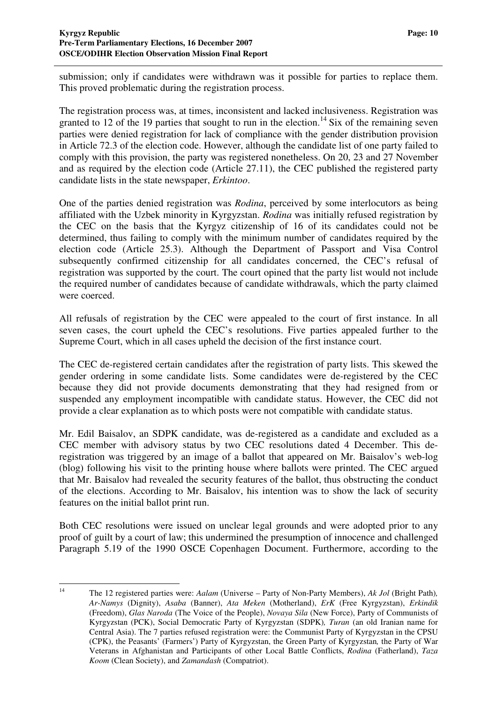submission; only if candidates were withdrawn was it possible for parties to replace them. This proved problematic during the registration process.

The registration process was, at times, inconsistent and lacked inclusiveness. Registration was granted to 12 of the 19 parties that sought to run in the election.<sup>14</sup> Six of the remaining seven parties were denied registration for lack of compliance with the gender distribution provision in Article 72.3 of the election code. However, although the candidate list of one party failed to comply with this provision, the party was registered nonetheless. On 20, 23 and 27 November and as required by the election code (Article 27.11), the CEC published the registered party candidate lists in the state newspaper, *Erkintoo*.

One of the parties denied registration was *Rodina*, perceived by some interlocutors as being affiliated with the Uzbek minority in Kyrgyzstan. *Rodina* was initially refused registration by the CEC on the basis that the Kyrgyz citizenship of 16 of its candidates could not be determined, thus failing to comply with the minimum number of candidates required by the election code (Article 25.3). Although the Department of Passport and Visa Control subsequently confirmed citizenship for all candidates concerned, the CEC's refusal of registration was supported by the court. The court opined that the party list would not include the required number of candidates because of candidate withdrawals, which the party claimed were coerced.

All refusals of registration by the CEC were appealed to the court of first instance. In all seven cases, the court upheld the CEC's resolutions. Five parties appealed further to the Supreme Court, which in all cases upheld the decision of the first instance court.

The CEC de-registered certain candidates after the registration of party lists. This skewed the gender ordering in some candidate lists. Some candidates were de-registered by the CEC because they did not provide documents demonstrating that they had resigned from or suspended any employment incompatible with candidate status. However, the CEC did not provide a clear explanation as to which posts were not compatible with candidate status.

Mr. Edil Baisalov, an SDPK candidate, was de-registered as a candidate and excluded as a CEC member with advisory status by two CEC resolutions dated 4 December. This deregistration was triggered by an image of a ballot that appeared on Mr. Baisalov's web-log (blog) following his visit to the printing house where ballots were printed. The CEC argued that Mr. Baisalov had revealed the security features of the ballot, thus obstructing the conduct of the elections. According to Mr. Baisalov, his intention was to show the lack of security features on the initial ballot print run.

Both CEC resolutions were issued on unclear legal grounds and were adopted prior to any proof of guilt by a court of law; this undermined the presumption of innocence and challenged Paragraph 5.19 of the 1990 OSCE Copenhagen Document. Furthermore, according to the

<sup>14</sup> The 12 registered parties were: *Aalam* (Universe – Party of Non-Party Members), *Ak Jol* (Bright Path)*, Ar-Namys* (Dignity), *Asaba* (Banner), *Ata Meken* (Motherland), *ErK* (Free Kyrgyzstan), *Erkindik* (Freedom), *Glas Naroda* (The Voice of the People), *Novaya Sila* (New Force), Party of Communists of Kyrgyzstan (PCK), Social Democratic Party of Kyrgyzstan (SDPK)*, Turan* (an old Iranian name for Central Asia). The 7 parties refused registration were: the Communist Party of Kyrgyzstan in the CPSU (CPK), the Peasants' (Farmers') Party of Kyrgyzstan, the Green Party of Kyrgyzstan*,* the Party of War Veterans in Afghanistan and Participants of other Local Battle Conflicts, *Rodina* (Fatherland), *Taza Koom* (Clean Society), and *Zamandash* (Compatriot).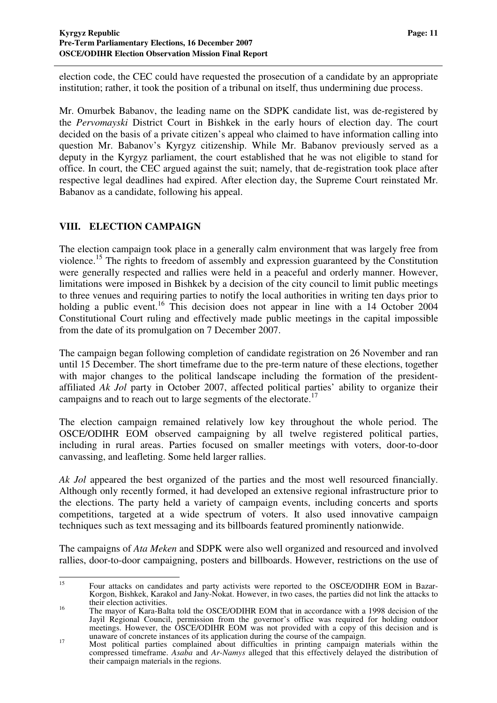election code, the CEC could have requested the prosecution of a candidate by an appropriate institution; rather, it took the position of a tribunal on itself, thus undermining due process.

Mr. Omurbek Babanov, the leading name on the SDPK candidate list, was de-registered by the *Pervomayski* District Court in Bishkek in the early hours of election day. The court decided on the basis of a private citizen's appeal who claimed to have information calling into question Mr. Babanov's Kyrgyz citizenship. While Mr. Babanov previously served as a deputy in the Kyrgyz parliament, the court established that he was not eligible to stand for office. In court, the CEC argued against the suit; namely, that de-registration took place after respective legal deadlines had expired. After election day, the Supreme Court reinstated Mr. Babanov as a candidate, following his appeal.

#### **VIII. ELECTION CAMPAIGN**

The election campaign took place in a generally calm environment that was largely free from violence.<sup>15</sup> The rights to freedom of assembly and expression guaranteed by the Constitution were generally respected and rallies were held in a peaceful and orderly manner. However, limitations were imposed in Bishkek by a decision of the city council to limit public meetings to three venues and requiring parties to notify the local authorities in writing ten days prior to holding a public event.<sup>16</sup> This decision does not appear in line with a 14 October 2004 Constitutional Court ruling and effectively made public meetings in the capital impossible from the date of its promulgation on 7 December 2007.

The campaign began following completion of candidate registration on 26 November and ran until 15 December. The short timeframe due to the pre-term nature of these elections, together with major changes to the political landscape including the formation of the presidentaffiliated *Ak Jol* party in October 2007, affected political parties' ability to organize their campaigns and to reach out to large segments of the electorate.<sup>17</sup>

The election campaign remained relatively low key throughout the whole period. The OSCE/ODIHR EOM observed campaigning by all twelve registered political parties, including in rural areas. Parties focused on smaller meetings with voters, door-to-door canvassing, and leafleting. Some held larger rallies.

*Ak Jol* appeared the best organized of the parties and the most well resourced financially. Although only recently formed, it had developed an extensive regional infrastructure prior to the elections. The party held a variety of campaign events, including concerts and sports competitions, targeted at a wide spectrum of voters. It also used innovative campaign techniques such as text messaging and its billboards featured prominently nationwide.

The campaigns of *Ata Meken* and SDPK were also well organized and resourced and involved rallies, door-to-door campaigning, posters and billboards. However, restrictions on the use of

<sup>15</sup> Four attacks on candidates and party activists were reported to the OSCE/ODIHR EOM in Bazar-Korgon, Bishkek, Karakol and Jany-Nokat. However, in two cases, the parties did not link the attacks to their election activities.

<sup>&</sup>lt;sup>16</sup> The mayor of Kara-Balta told the OSCE/ODIHR EOM that in accordance with a 1998 decision of the Jayil Regional Council, permission from the governor's office was required for holding outdoor meetings. However, the OSCE/ODIHR EOM was not provided with a copy of this decision and is unaware of concrete instances of its application during the course of the campaign.

<sup>&</sup>lt;sup>17</sup> Most political parties complained about difficulties in printing campaign materials within the compressed timeframe. *Asaba* and *Ar-Namys* alleged that this effectively delayed the distribution of their campaign materials in the regions.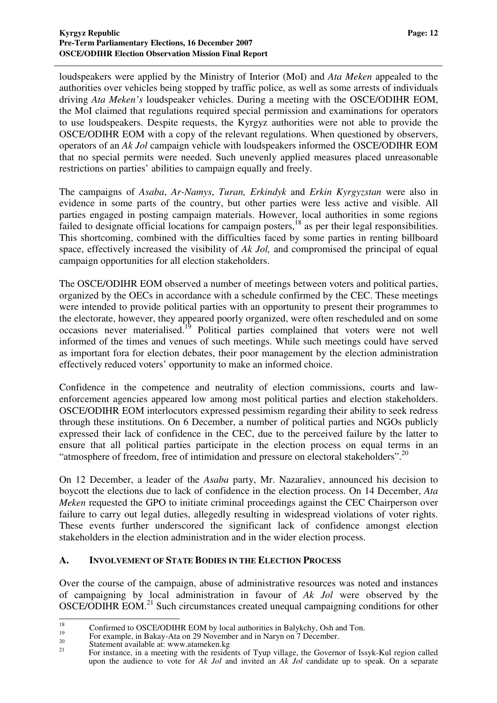loudspeakers were applied by the Ministry of Interior (MoI) and *Ata Meken* appealed to the authorities over vehicles being stopped by traffic police, as well as some arrests of individuals driving *Ata Meken's* loudspeaker vehicles. During a meeting with the OSCE/ODIHR EOM, the MoI claimed that regulations required special permission and examinations for operators to use loudspeakers. Despite requests, the Kyrgyz authorities were not able to provide the OSCE/ODIHR EOM with a copy of the relevant regulations. When questioned by observers, operators of an *Ak Jol* campaign vehicle with loudspeakers informed the OSCE/ODIHR EOM that no special permits were needed. Such unevenly applied measures placed unreasonable restrictions on parties' abilities to campaign equally and freely.

The campaigns of *Asaba*, *Ar-Namys*, *Turan, Erkindyk* and *Erkin Kyrgyzstan* were also in evidence in some parts of the country, but other parties were less active and visible. All parties engaged in posting campaign materials. However, local authorities in some regions failed to designate official locations for campaign posters,<sup>18</sup> as per their legal responsibilities. This shortcoming, combined with the difficulties faced by some parties in renting billboard space, effectively increased the visibility of *Ak Jol,* and compromised the principal of equal campaign opportunities for all election stakeholders.

The OSCE/ODIHR EOM observed a number of meetings between voters and political parties, organized by the OECs in accordance with a schedule confirmed by the CEC. These meetings were intended to provide political parties with an opportunity to present their programmes to the electorate, however, they appeared poorly organized, were often rescheduled and on some occasions never materialised.<sup>19</sup> Political parties complained that voters were not well informed of the times and venues of such meetings. While such meetings could have served as important fora for election debates, their poor management by the election administration effectively reduced voters' opportunity to make an informed choice.

Confidence in the competence and neutrality of election commissions, courts and lawenforcement agencies appeared low among most political parties and election stakeholders. OSCE/ODIHR EOM interlocutors expressed pessimism regarding their ability to seek redress through these institutions. On 6 December, a number of political parties and NGOs publicly expressed their lack of confidence in the CEC, due to the perceived failure by the latter to ensure that all political parties participate in the election process on equal terms in an "atmosphere of freedom, free of intimidation and pressure on electoral stakeholders".<sup>20</sup>

On 12 December, a leader of the *Asaba* party, Mr. Nazaraliev, announced his decision to boycott the elections due to lack of confidence in the election process. On 14 December, *Ata Meken* requested the GPO to initiate criminal proceedings against the CEC Chairperson over failure to carry out legal duties, allegedly resulting in widespread violations of voter rights. These events further underscored the significant lack of confidence amongst election stakeholders in the election administration and in the wider election process.

#### **A. INVOLVEMENT OF STATE BODIES IN THE ELECTION PROCESS**

Over the course of the campaign, abuse of administrative resources was noted and instances of campaigning by local administration in favour of *Ak Jol* were observed by the OSCE/ODIHR EOM.<sup>21</sup> Such circumstances created unequal campaigning conditions for other

<sup>&</sup>lt;sup>18</sup> Confirmed to OSCE/ODIHR EOM by local authorities in Balykchy, Osh and Ton. 19

For example, in Bakay-Ata on 29 November and in Naryn on 7 December. 20

Statement available at: www.atameken.kg

<sup>21</sup> For instance, in a meeting with the residents of Tyup village, the Governor of Issyk-Kul region called upon the audience to vote for *Ak Jol* and invited an *Ak Jol* candidate up to speak. On a separate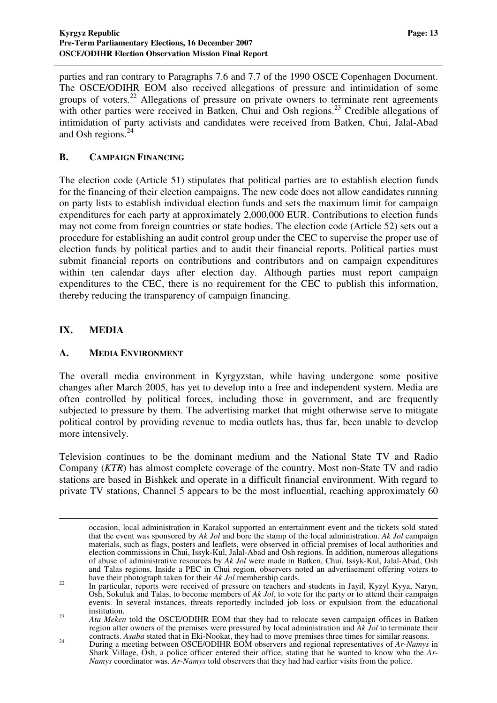parties and ran contrary to Paragraphs 7.6 and 7.7 of the 1990 OSCE Copenhagen Document. The OSCE/ODIHR EOM also received allegations of pressure and intimidation of some groups of voters.<sup>22</sup> Allegations of pressure on private owners to terminate rent agreements with other parties were received in Batken, Chui and Osh regions.<sup>23</sup> Credible allegations of intimidation of party activists and candidates were received from Batken, Chui, Jalal-Abad and Osh regions. 24

#### **B. CAMPAIGN FINANCING**

The election code (Article 51) stipulates that political parties are to establish election funds for the financing of their election campaigns. The new code does not allow candidates running on party lists to establish individual election funds and sets the maximum limit for campaign expenditures for each party at approximately 2,000,000 EUR. Contributions to election funds may not come from foreign countries or state bodies. The election code (Article 52) sets out a procedure for establishing an audit control group under the CEC to supervise the proper use of election funds by political parties and to audit their financial reports. Political parties must submit financial reports on contributions and contributors and on campaign expenditures within ten calendar days after election day. Although parties must report campaign expenditures to the CEC, there is no requirement for the CEC to publish this information, thereby reducing the transparency of campaign financing.

#### **IX. MEDIA**

#### **A. MEDIA ENVIRONMENT**

The overall media environment in Kyrgyzstan, while having undergone some positive changes after March 2005, has yet to develop into a free and independent system. Media are often controlled by political forces, including those in government, and are frequently subjected to pressure by them. The advertising market that might otherwise serve to mitigate political control by providing revenue to media outlets has, thus far, been unable to develop more intensively.

Television continues to be the dominant medium and the National State TV and Radio Company (*KTR*) has almost complete coverage of the country. Most non-State TV and radio stations are based in Bishkek and operate in a difficult financial environment. With regard to private TV stations, Channel 5 appears to be the most influential, reaching approximately 60

occasion, local administration in Karakol supported an entertainment event and the tickets sold stated that the event was sponsored by *Ak Jol* and bore the stamp of the local administration. *Ak Jol* campaign materials, such as flags, posters and leaflets, were observed in official premises of local authorities and election commissions in Chui, Issyk-Kul, Jalal-Abad and Osh regions. In addition, numerous allegations of abuse of administrative resources by *Ak Jol* were made in Batken, Chui, Issyk-Kul, Jalal-Abad, Osh and Talas regions. Inside a PEC in Chui region, observers noted an advertisement offering voters to have their photograph taken for their *Ak Jol* membership cards.

 $22$ In particular, reports were received of pressure on teachers and students in Jayil, Kyzyl Kyya, Naryn, Osh, Sokuluk and Talas, to become members of *Ak Jol*, to vote for the party or to attend their campaign events. In several instances, threats reportedly included job loss or expulsion from the educational institution.

<sup>&</sup>lt;sup>23</sup> *Ata Meken* told the OSCE/ODIHR EOM that they had to relocate seven campaign offices in Batken region after owners of the premises were pressured by local administration and *Ak Jol* to terminate their contracts. *Asaba* stated that in Eki-Nookat, they had to move premises three times for similar reasons.

<sup>&</sup>lt;sup>24</sup> During a meeting between OSCE/ODIHR EOM observers and regional representatives of *Ar-Namys* in Shark Village, Osh, a police officer entered their office, stating that he wanted to know who the *Ar-Namys* coordinator was. *Ar-Namys* told observers that they had had earlier visits from the police.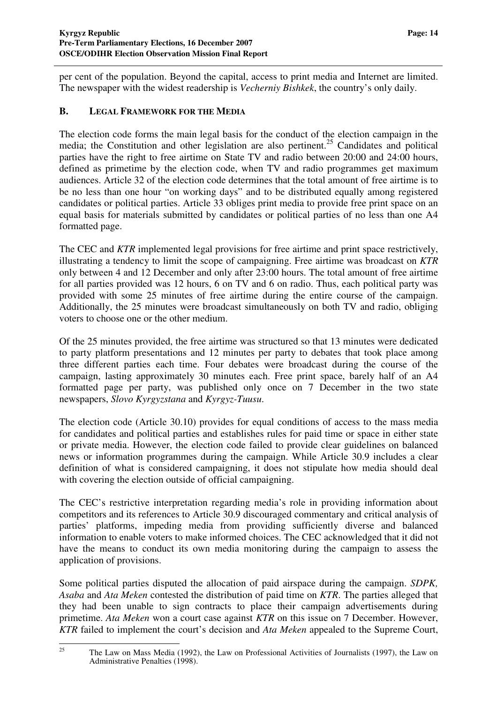per cent of the population. Beyond the capital, access to print media and Internet are limited. The newspaper with the widest readership is *Vecherniy Bishkek*, the country's only daily.

#### **B. LEGAL FRAMEWORK FOR THE MEDIA**

The election code forms the main legal basis for the conduct of the election campaign in the media; the Constitution and other legislation are also pertinent. <sup>25</sup> Candidates and political parties have the right to free airtime on State TV and radio between 20:00 and 24:00 hours, defined as primetime by the election code, when TV and radio programmes get maximum audiences. Article 32 of the election code determines that the total amount of free airtime is to be no less than one hour "on working days" and to be distributed equally among registered candidates or political parties. Article 33 obliges print media to provide free print space on an equal basis for materials submitted by candidates or political parties of no less than one A4 formatted page.

The CEC and *KTR* implemented legal provisions for free airtime and print space restrictively, illustrating a tendency to limit the scope of campaigning. Free airtime was broadcast on *KTR* only between 4 and 12 December and only after 23:00 hours. The total amount of free airtime for all parties provided was 12 hours, 6 on TV and 6 on radio. Thus, each political party was provided with some 25 minutes of free airtime during the entire course of the campaign. Additionally, the 25 minutes were broadcast simultaneously on both TV and radio, obliging voters to choose one or the other medium.

Of the 25 minutes provided, the free airtime was structured so that 13 minutes were dedicated to party platform presentations and 12 minutes per party to debates that took place among three different parties each time. Four debates were broadcast during the course of the campaign, lasting approximately 30 minutes each. Free print space, barely half of an A4 formatted page per party, was published only once on 7 December in the two state newspapers, *Slovo Kyrgyzstana* and *Kyrgyz-Tuusu*.

The election code (Article 30.10) provides for equal conditions of access to the mass media for candidates and political parties and establishes rules for paid time or space in either state or private media. However, the election code failed to provide clear guidelines on balanced news or information programmes during the campaign. While Article 30.9 includes a clear definition of what is considered campaigning, it does not stipulate how media should deal with covering the election outside of official campaigning.

The CEC's restrictive interpretation regarding media's role in providing information about competitors and its references to Article 30.9 discouraged commentary and critical analysis of parties' platforms, impeding media from providing sufficiently diverse and balanced information to enable voters to make informed choices. The CEC acknowledged that it did not have the means to conduct its own media monitoring during the campaign to assess the application of provisions.

Some political parties disputed the allocation of paid airspace during the campaign. *SDPK, Asaba* and *Ata Meken* contested the distribution of paid time on *KTR*. The parties alleged that they had been unable to sign contracts to place their campaign advertisements during primetime. *Ata Meken* won a court case against *KTR* on this issue on 7 December. However, *KTR* failed to implement the court's decision and *Ata Meken* appealed to the Supreme Court,

<sup>&</sup>lt;sup>25</sup> The Law on Mass Media (1992), the Law on Professional Activities of Journalists (1997), the Law on Administrative Penalties (1998).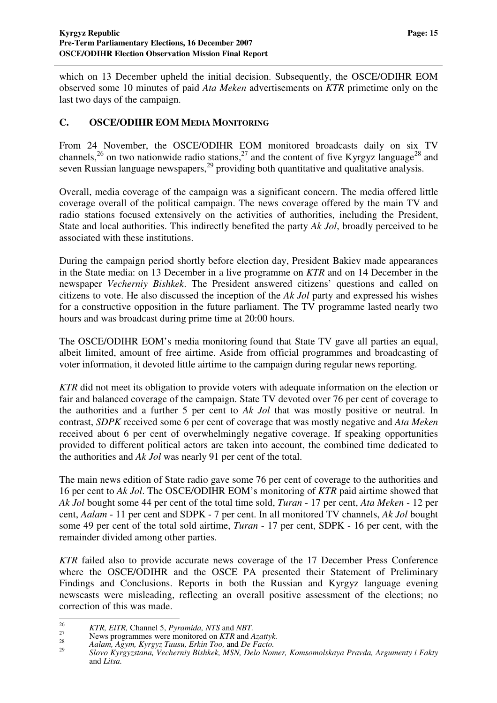which on 13 December upheld the initial decision. Subsequently, the OSCE/ODIHR EOM observed some 10 minutes of paid *Ata Meken* advertisements on *KTR* primetime only on the last two days of the campaign.

#### **C. OSCE/ODIHR EOM MEDIA MONITORING**

From 24 November, the OSCE/ODIHR EOM monitored broadcasts daily on six TV channels,<sup>26</sup> on two nationwide radio stations,<sup>27</sup> and the content of five Kyrgyz language<sup>28</sup> and seven Russian language newspapers,<sup>29</sup> providing both quantitative and qualitative analysis.

Overall, media coverage of the campaign was a significant concern. The media offered little coverage overall of the political campaign. The news coverage offered by the main TV and radio stations focused extensively on the activities of authorities, including the President, State and local authorities. This indirectly benefited the party *Ak Jol*, broadly perceived to be associated with these institutions.

During the campaign period shortly before election day, President Bakiev made appearances in the State media: on 13 December in a live programme on *KTR* and on 14 December in the newspaper *Vecherniy Bishkek*. The President answered citizens' questions and called on citizens to vote. He also discussed the inception of the *Ak Jol* party and expressed his wishes for a constructive opposition in the future parliament. The TV programme lasted nearly two hours and was broadcast during prime time at 20:00 hours.

The OSCE/ODIHR EOM's media monitoring found that State TV gave all parties an equal, albeit limited, amount of free airtime. Aside from official programmes and broadcasting of voter information, it devoted little airtime to the campaign during regular news reporting.

*KTR* did not meet its obligation to provide voters with adequate information on the election or fair and balanced coverage of the campaign. State TV devoted over 76 per cent of coverage to the authorities and a further 5 per cent to *Ak Jol* that was mostly positive or neutral. In contrast, *SDPK* received some 6 per cent of coverage that was mostly negative and *Ata Meken* received about 6 per cent of overwhelmingly negative coverage. If speaking opportunities provided to different political actors are taken into account, the combined time dedicated to the authorities and *Ak Jol* was nearly 91 per cent of the total.

The main news edition of State radio gave some 76 per cent of coverage to the authorities and 16 per cent to *Ak Jol*. The OSCE/ODIHR EOM's monitoring of *KTR* paid airtime showed that *Ak Jol* bought some 44 per cent of the total time sold, *Turan* - 17 per cent, *Ata Meken* - 12 per cent, *Aalam* - 11 per cent and SDPK - 7 per cent. In all monitored TV channels, *Ak Jol* bought some 49 per cent of the total sold airtime, *Turan* - 17 per cent, SDPK - 16 per cent, with the remainder divided among other parties.

*KTR* failed also to provide accurate news coverage of the 17 December Press Conference where the OSCE/ODIHR and the OSCE PA presented their Statement of Preliminary Findings and Conclusions. Reports in both the Russian and Kyrgyz language evening newscasts were misleading, reflecting an overall positive assessment of the elections; no correction of this was made.

<sup>26</sup> *KTR, ElTR,* Channel 5, *Pyramida, NTS* and *NBT.*

<sup>&</sup>lt;sup>27</sup><br>28 News programmes were monitored on *KTR* and *Azattyk.*<br>28 Aglam Agym Kyrovz Tuygu Erkin Too and De Facto

<sup>28</sup> *Aalam, Agym, Kyrgyz Tuusu, Erkin Too,* and *De Facto.* 29

*Slovo Kyrgyzstana, Vecherniy Bishkek, MSN, Delo Nomer, Komsomolskaya Pravda, Argumenty i Fakty* and *Litsa.*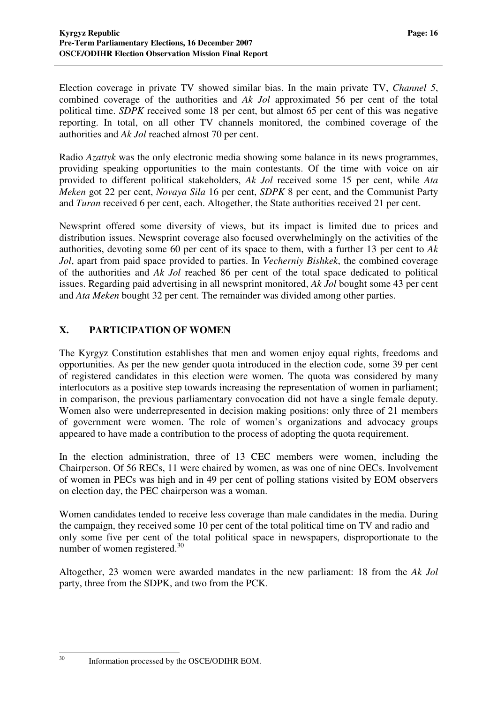Election coverage in private TV showed similar bias. In the main private TV, *Channel 5*, combined coverage of the authorities and *Ak Jol* approximated 56 per cent of the total political time. *SDPK* received some 18 per cent, but almost 65 per cent of this was negative reporting. In total, on all other TV channels monitored, the combined coverage of the authorities and *Ak Jol* reached almost 70 per cent.

Radio *Azattyk* was the only electronic media showing some balance in its news programmes, providing speaking opportunities to the main contestants. Of the time with voice on air provided to different political stakeholders, *Ak Jol* received some 15 per cent, while *Ata Meken* got 22 per cent, *Novaya Sila* 16 per cent, *SDPK* 8 per cent, and the Communist Party and *Turan* received 6 per cent, each. Altogether, the State authorities received 21 per cent.

Newsprint offered some diversity of views, but its impact is limited due to prices and distribution issues. Newsprint coverage also focused overwhelmingly on the activities of the authorities, devoting some 60 per cent of its space to them, with a further 13 per cent to *Ak Jol*, apart from paid space provided to parties. In *Vecherniy Bishkek*, the combined coverage of the authorities and *Ak Jol* reached 86 per cent of the total space dedicated to political issues. Regarding paid advertising in all newsprint monitored, *Ak Jol* bought some 43 per cent and *Ata Meken* bought 32 per cent. The remainder was divided among other parties.

#### **X. PARTICIPATION OF WOMEN**

The Kyrgyz Constitution establishes that men and women enjoy equal rights, freedoms and opportunities. As per the new gender quota introduced in the election code, some 39 per cent of registered candidates in this election were women. The quota was considered by many interlocutors as a positive step towards increasing the representation of women in parliament; in comparison, the previous parliamentary convocation did not have a single female deputy. Women also were underrepresented in decision making positions: only three of 21 members of government were women. The role of women's organizations and advocacy groups appeared to have made a contribution to the process of adopting the quota requirement.

In the election administration, three of 13 CEC members were women, including the Chairperson. Of 56 RECs, 11 were chaired by women, as was one of nine OECs. Involvement of women in PECs was high and in 49 per cent of polling stations visited by EOM observers on election day, the PEC chairperson was a woman.

Women candidates tended to receive less coverage than male candidates in the media. During the campaign, they received some 10 per cent of the total political time on TV and radio and only some five per cent of the total political space in newspapers, disproportionate to the number of women registered.<sup>30</sup>

Altogether, 23 women were awarded mandates in the new parliament: 18 from the *Ak Jol* party, three from the SDPK, and two from the PCK.

Information processed by the OSCE/ODIHR EOM.

 $30<sup>2</sup>$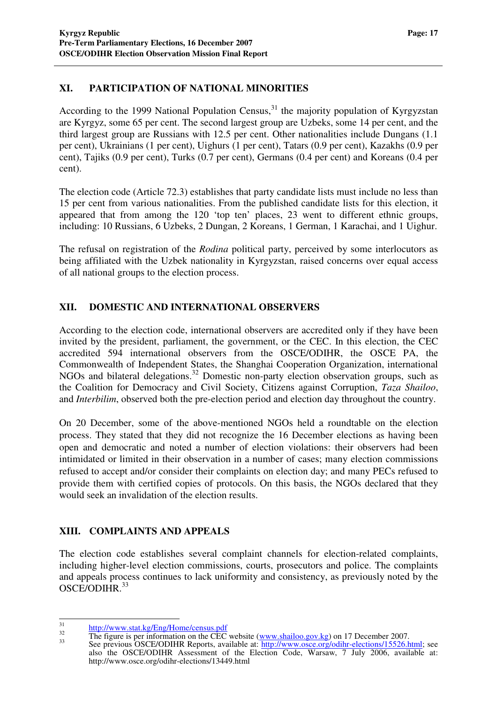#### **XI. PARTICIPATION OF NATIONAL MINORITIES**

According to the 1999 National Population Census,<sup>31</sup> the majority population of Kyrgyzstan are Kyrgyz, some 65 per cent. The second largest group are Uzbeks, some 14 per cent, and the third largest group are Russians with 12.5 per cent. Other nationalities include Dungans (1.1 per cent), Ukrainians (1 per cent), Uighurs (1 per cent), Tatars (0.9 per cent), Kazakhs (0.9 per cent), Tajiks (0.9 per cent), Turks (0.7 per cent), Germans (0.4 per cent) and Koreans (0.4 per cent).

The election code (Article 72.3) establishes that party candidate lists must include no less than 15 per cent from various nationalities. From the published candidate lists for this election, it appeared that from among the 120 'top ten' places, 23 went to different ethnic groups, including: 10 Russians, 6 Uzbeks, 2 Dungan, 2 Koreans, 1 German, 1 Karachai, and 1 Uighur.

The refusal on registration of the *Rodina* political party, perceived by some interlocutors as being affiliated with the Uzbek nationality in Kyrgyzstan, raised concerns over equal access of all national groups to the election process.

#### **XII. DOMESTIC AND INTERNATIONAL OBSERVERS**

According to the election code, international observers are accredited only if they have been invited by the president, parliament, the government, or the CEC. In this election, the CEC accredited 594 international observers from the OSCE/ODIHR, the OSCE PA, the Commonwealth of Independent States, the Shanghai Cooperation Organization, international NGOs and bilateral delegations.<sup>32</sup> Domestic non-party election observation groups, such as the Coalition for Democracy and Civil Society, Citizens against Corruption, *Taza Shailoo*, and *Interbilim*, observed both the pre-election period and election day throughout the country.

On 20 December, some of the above-mentioned NGOs held a roundtable on the election process. They stated that they did not recognize the 16 December elections as having been open and democratic and noted a number of election violations: their observers had been intimidated or limited in their observation in a number of cases; many election commissions refused to accept and/or consider their complaints on election day; and many PECs refused to provide them with certified copies of protocols. On this basis, the NGOs declared that they would seek an invalidation of the election results.

#### **XIII. COMPLAINTS AND APPEALS**

The election code establishes several complaint channels for election-related complaints, including higher-level election commissions, courts, prosecutors and police. The complaints and appeals process continues to lack uniformity and consistency, as previously noted by the OSCE/ODIHR. 33

<sup>31</sup> http://www.stat.kg/Eng/Home/census.pdf

 $\frac{\text{mfp.} \mu}{\text{mfp.} \mu}$  The figure is per information on the CEC website (www.shailoo.gov.kg) on 17 December 2007.

<sup>33</sup> See previous OSCE/ODIHR Reports, available at: http://www.osce.org/odihr-elections/15526.html; see also the OSCE/ODIHR Assessment of the Election Code, Warsaw, 7 July 2006, available at: http://www.osce.org/odihr-elections/13449.html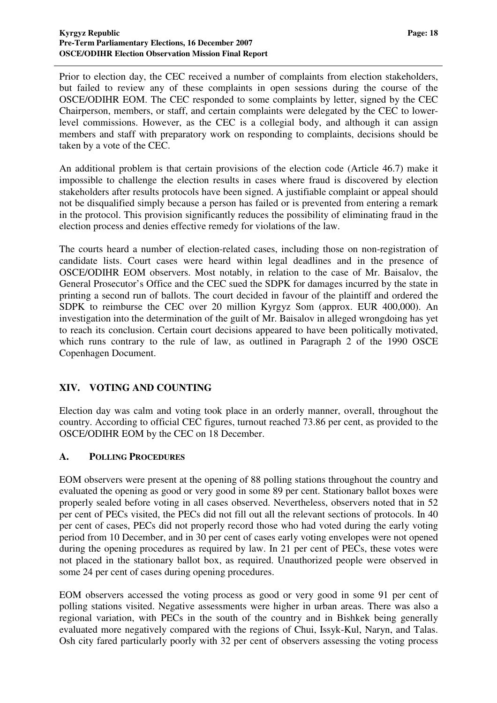Prior to election day, the CEC received a number of complaints from election stakeholders, but failed to review any of these complaints in open sessions during the course of the OSCE/ODIHR EOM. The CEC responded to some complaints by letter, signed by the CEC Chairperson, members, or staff, and certain complaints were delegated by the CEC to lowerlevel commissions. However, as the CEC is a collegial body, and although it can assign members and staff with preparatory work on responding to complaints, decisions should be taken by a vote of the CEC.

An additional problem is that certain provisions of the election code (Article 46.7) make it impossible to challenge the election results in cases where fraud is discovered by election stakeholders after results protocols have been signed. A justifiable complaint or appeal should not be disqualified simply because a person has failed or is prevented from entering a remark in the protocol. This provision significantly reduces the possibility of eliminating fraud in the election process and denies effective remedy for violations of the law.

The courts heard a number of election-related cases, including those on non-registration of candidate lists. Court cases were heard within legal deadlines and in the presence of OSCE/ODIHR EOM observers. Most notably, in relation to the case of Mr. Baisalov, the General Prosecutor's Office and the CEC sued the SDPK for damages incurred by the state in printing a second run of ballots. The court decided in favour of the plaintiff and ordered the SDPK to reimburse the CEC over 20 million Kyrgyz Som (approx. EUR 400,000). An investigation into the determination of the guilt of Mr. Baisalov in alleged wrongdoing has yet to reach its conclusion. Certain court decisions appeared to have been politically motivated, which runs contrary to the rule of law, as outlined in Paragraph 2 of the 1990 OSCE Copenhagen Document.

#### **XIV. VOTING AND COUNTING**

Election day was calm and voting took place in an orderly manner, overall, throughout the country. According to official CEC figures, turnout reached 73.86 per cent, as provided to the OSCE/ODIHR EOM by the CEC on 18 December.

#### **A. POLLING PROCEDURES**

EOM observers were present at the opening of 88 polling stations throughout the country and evaluated the opening as good or very good in some 89 per cent. Stationary ballot boxes were properly sealed before voting in all cases observed. Nevertheless, observers noted that in 52 per cent of PECs visited, the PECs did not fill out all the relevant sections of protocols. In 40 per cent of cases, PECs did not properly record those who had voted during the early voting period from 10 December, and in 30 per cent of cases early voting envelopes were not opened during the opening procedures as required by law. In 21 per cent of PECs, these votes were not placed in the stationary ballot box, as required. Unauthorized people were observed in some 24 per cent of cases during opening procedures.

EOM observers accessed the voting process as good or very good in some 91 per cent of polling stations visited. Negative assessments were higher in urban areas. There was also a regional variation, with PECs in the south of the country and in Bishkek being generally evaluated more negatively compared with the regions of Chui, Issyk-Kul, Naryn, and Talas. Osh city fared particularly poorly with 32 per cent of observers assessing the voting process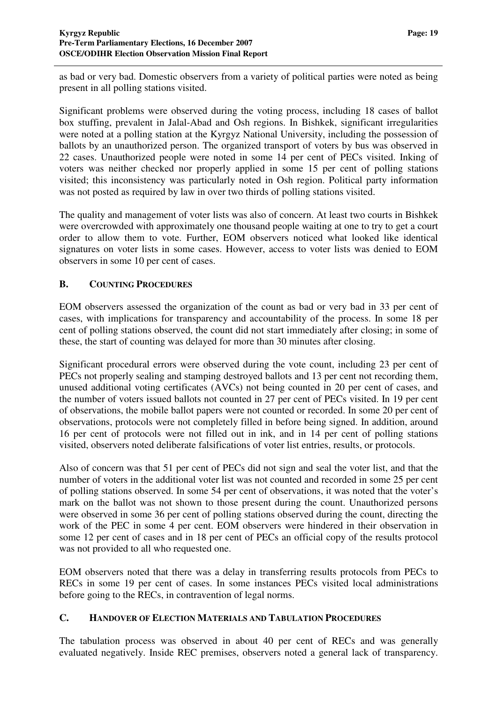as bad or very bad. Domestic observers from a variety of political parties were noted as being present in all polling stations visited.

Significant problems were observed during the voting process, including 18 cases of ballot box stuffing, prevalent in Jalal-Abad and Osh regions. In Bishkek, significant irregularities were noted at a polling station at the Kyrgyz National University, including the possession of ballots by an unauthorized person. The organized transport of voters by bus was observed in 22 cases. Unauthorized people were noted in some 14 per cent of PECs visited. Inking of voters was neither checked nor properly applied in some 15 per cent of polling stations visited; this inconsistency was particularly noted in Osh region. Political party information was not posted as required by law in over two thirds of polling stations visited.

The quality and management of voter lists was also of concern. At least two courts in Bishkek were overcrowded with approximately one thousand people waiting at one to try to get a court order to allow them to vote. Further, EOM observers noticed what looked like identical signatures on voter lists in some cases. However, access to voter lists was denied to EOM observers in some 10 per cent of cases.

#### **B. COUNTING PROCEDURES**

EOM observers assessed the organization of the count as bad or very bad in 33 per cent of cases, with implications for transparency and accountability of the process. In some 18 per cent of polling stations observed, the count did not start immediately after closing; in some of these, the start of counting was delayed for more than 30 minutes after closing.

Significant procedural errors were observed during the vote count, including 23 per cent of PECs not properly sealing and stamping destroyed ballots and 13 per cent not recording them, unused additional voting certificates (AVCs) not being counted in 20 per cent of cases, and the number of voters issued ballots not counted in 27 per cent of PECs visited. In 19 per cent of observations, the mobile ballot papers were not counted or recorded. In some 20 per cent of observations, protocols were not completely filled in before being signed. In addition, around 16 per cent of protocols were not filled out in ink, and in 14 per cent of polling stations visited, observers noted deliberate falsifications of voter list entries, results, or protocols.

Also of concern was that 51 per cent of PECs did not sign and seal the voter list, and that the number of voters in the additional voter list was not counted and recorded in some 25 per cent of polling stations observed. In some 54 per cent of observations, it was noted that the voter's mark on the ballot was not shown to those present during the count. Unauthorized persons were observed in some 36 per cent of polling stations observed during the count, directing the work of the PEC in some 4 per cent. EOM observers were hindered in their observation in some 12 per cent of cases and in 18 per cent of PECs an official copy of the results protocol was not provided to all who requested one.

EOM observers noted that there was a delay in transferring results protocols from PECs to RECs in some 19 per cent of cases. In some instances PECs visited local administrations before going to the RECs, in contravention of legal norms.

#### **C. HANDOVER OF ELECTION MATERIALS AND TABULATION PROCEDURES**

The tabulation process was observed in about 40 per cent of RECs and was generally evaluated negatively. Inside REC premises, observers noted a general lack of transparency.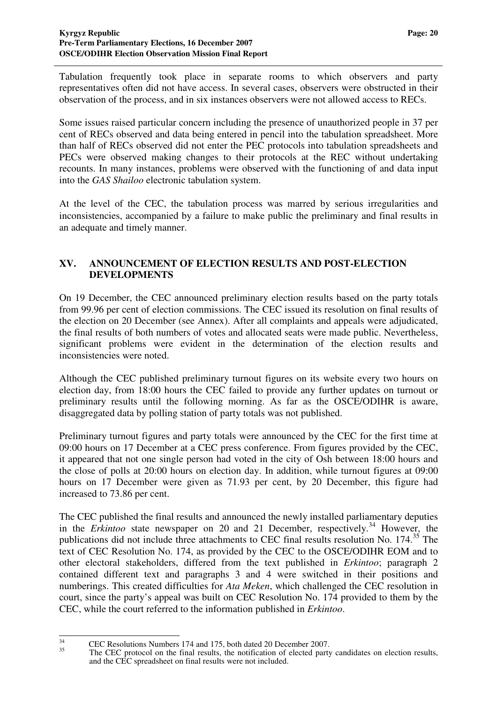Tabulation frequently took place in separate rooms to which observers and party representatives often did not have access. In several cases, observers were obstructed in their observation of the process, and in six instances observers were not allowed access to RECs.

Some issues raised particular concern including the presence of unauthorized people in 37 per cent of RECs observed and data being entered in pencil into the tabulation spreadsheet. More than half of RECs observed did not enter the PEC protocols into tabulation spreadsheets and PECs were observed making changes to their protocols at the REC without undertaking recounts. In many instances, problems were observed with the functioning of and data input into the *GAS Shailoo* electronic tabulation system.

At the level of the CEC, the tabulation process was marred by serious irregularities and inconsistencies, accompanied by a failure to make public the preliminary and final results in an adequate and timely manner.

#### **XV. ANNOUNCEMENT OF ELECTION RESULTS AND POST-ELECTION DEVELOPMENTS**

On 19 December, the CEC announced preliminary election results based on the party totals from 99.96 per cent of election commissions. The CEC issued its resolution on final results of the election on 20 December (see Annex). After all complaints and appeals were adjudicated, the final results of both numbers of votes and allocated seats were made public. Nevertheless, significant problems were evident in the determination of the election results and inconsistencies were noted.

Although the CEC published preliminary turnout figures on its website every two hours on election day, from 18:00 hours the CEC failed to provide any further updates on turnout or preliminary results until the following morning. As far as the OSCE/ODIHR is aware, disaggregated data by polling station of party totals was not published.

Preliminary turnout figures and party totals were announced by the CEC for the first time at 09:00 hours on 17 December at a CEC press conference. From figures provided by the CEC, it appeared that not one single person had voted in the city of Osh between 18:00 hours and the close of polls at 20:00 hours on election day. In addition, while turnout figures at 09:00 hours on 17 December were given as 71.93 per cent, by 20 December, this figure had increased to 73.86 per cent.

The CEC published the final results and announced the newly installed parliamentary deputies in the *Erkintoo* state newspaper on 20 and 21 December, respectively.<sup>34</sup> However, the publications did not include three attachments to CEC final results resolution No. 174.<sup>35</sup> The text of CEC Resolution No. 174, as provided by the CEC to the OSCE/ODIHR EOM and to other electoral stakeholders, differed from the text published in *Erkintoo*; paragraph 2 contained different text and paragraphs 3 and 4 were switched in their positions and numberings. This created difficulties for *Ata Meken*, which challenged the CEC resolution in court, since the party's appeal was built on CEC Resolution No. 174 provided to them by the CEC, while the court referred to the information published in *Erkintoo*.

 $\frac{34}{35}$  CEC Resolutions Numbers 174 and 175, both dated 20 December 2007.

The CEC protocol on the final results, the notification of elected party candidates on election results, and the CEC spreadsheet on final results were not included.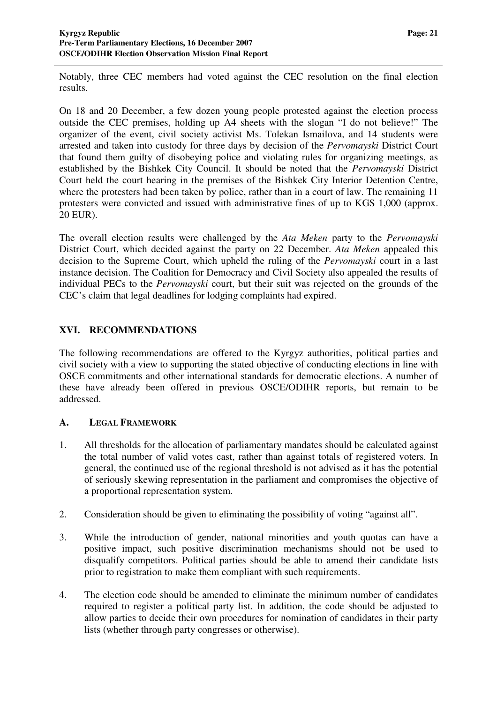Notably, three CEC members had voted against the CEC resolution on the final election results.

On 18 and 20 December, a few dozen young people protested against the election process outside the CEC premises, holding up A4 sheets with the slogan "I do not believe!" The organizer of the event, civil society activist Ms. Tolekan Ismailova, and 14 students were arrested and taken into custody for three days by decision of the *Pervomayski* District Court that found them guilty of disobeying police and violating rules for organizing meetings, as established by the Bishkek City Council. It should be noted that the *Pervomayski* District Court held the court hearing in the premises of the Bishkek City Interior Detention Centre, where the protesters had been taken by police, rather than in a court of law. The remaining 11 protesters were convicted and issued with administrative fines of up to KGS 1,000 (approx. 20 EUR).

The overall election results were challenged by the *Ata Meken* party to the *Pervomayski* District Court, which decided against the party on 22 December. *Ata Meken* appealed this decision to the Supreme Court, which upheld the ruling of the *Pervomayski* court in a last instance decision. The Coalition for Democracy and Civil Society also appealed the results of individual PECs to the *Pervomayski* court, but their suit was rejected on the grounds of the CEC's claim that legal deadlines for lodging complaints had expired.

#### **XVI. RECOMMENDATIONS**

The following recommendations are offered to the Kyrgyz authorities, political parties and civil society with a view to supporting the stated objective of conducting elections in line with OSCE commitments and other international standards for democratic elections. A number of these have already been offered in previous OSCE/ODIHR reports, but remain to be addressed.

#### **A. LEGAL FRAMEWORK**

- 1. All thresholds for the allocation of parliamentary mandates should be calculated against the total number of valid votes cast, rather than against totals of registered voters. In general, the continued use of the regional threshold is not advised as it has the potential of seriously skewing representation in the parliament and compromises the objective of a proportional representation system.
- 2. Consideration should be given to eliminating the possibility of voting "against all".
- 3. While the introduction of gender, national minorities and youth quotas can have a positive impact, such positive discrimination mechanisms should not be used to disqualify competitors. Political parties should be able to amend their candidate lists prior to registration to make them compliant with such requirements.
- 4. The election code should be amended to eliminate the minimum number of candidates required to register a political party list. In addition, the code should be adjusted to allow parties to decide their own procedures for nomination of candidates in their party lists (whether through party congresses or otherwise).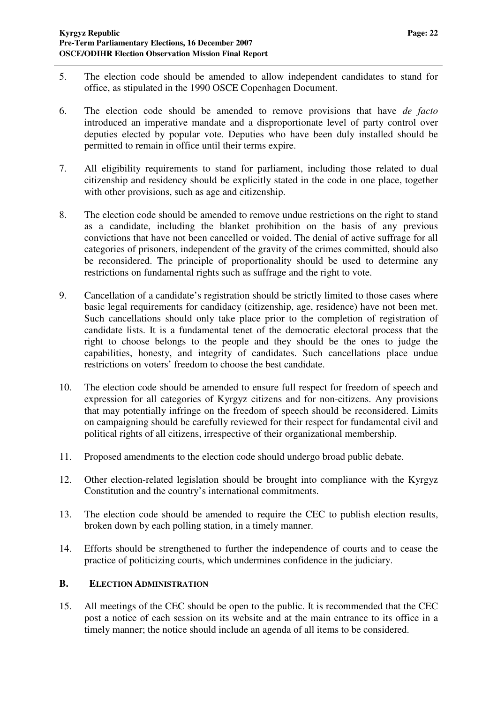- 5. The election code should be amended to allow independent candidates to stand for office, as stipulated in the 1990 OSCE Copenhagen Document.
- 6. The election code should be amended to remove provisions that have *de facto* introduced an imperative mandate and a disproportionate level of party control over deputies elected by popular vote. Deputies who have been duly installed should be permitted to remain in office until their terms expire.
- 7. All eligibility requirements to stand for parliament, including those related to dual citizenship and residency should be explicitly stated in the code in one place, together with other provisions, such as age and citizenship.
- 8. The election code should be amended to remove undue restrictions on the right to stand as a candidate, including the blanket prohibition on the basis of any previous convictions that have not been cancelled or voided. The denial of active suffrage for all categories of prisoners, independent of the gravity of the crimes committed, should also be reconsidered. The principle of proportionality should be used to determine any restrictions on fundamental rights such as suffrage and the right to vote.
- 9. Cancellation of a candidate's registration should be strictly limited to those cases where basic legal requirements for candidacy (citizenship, age, residence) have not been met. Such cancellations should only take place prior to the completion of registration of candidate lists. It is a fundamental tenet of the democratic electoral process that the right to choose belongs to the people and they should be the ones to judge the capabilities, honesty, and integrity of candidates. Such cancellations place undue restrictions on voters' freedom to choose the best candidate.
- 10. The election code should be amended to ensure full respect for freedom of speech and expression for all categories of Kyrgyz citizens and for non-citizens. Any provisions that may potentially infringe on the freedom of speech should be reconsidered. Limits on campaigning should be carefully reviewed for their respect for fundamental civil and political rights of all citizens, irrespective of their organizational membership.
- 11. Proposed amendments to the election code should undergo broad public debate.
- 12. Other election-related legislation should be brought into compliance with the Kyrgyz Constitution and the country's international commitments.
- 13. The election code should be amended to require the CEC to publish election results, broken down by each polling station, in a timely manner.
- 14. Efforts should be strengthened to further the independence of courts and to cease the practice of politicizing courts, which undermines confidence in the judiciary.

#### **B. ELECTION ADMINISTRATION**

15. All meetings of the CEC should be open to the public. It is recommended that the CEC post a notice of each session on its website and at the main entrance to its office in a timely manner; the notice should include an agenda of all items to be considered.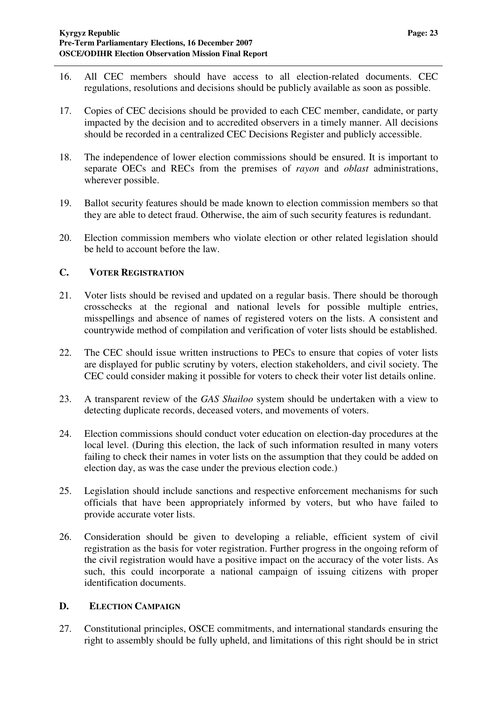- 16. All CEC members should have access to all election-related documents. CEC regulations, resolutions and decisions should be publicly available as soon as possible.
- 17. Copies of CEC decisions should be provided to each CEC member, candidate, or party impacted by the decision and to accredited observers in a timely manner. All decisions should be recorded in a centralized CEC Decisions Register and publicly accessible.
- 18. The independence of lower election commissions should be ensured. It is important to separate OECs and RECs from the premises of *rayon* and *oblast* administrations, wherever possible.
- 19. Ballot security features should be made known to election commission members so that they are able to detect fraud. Otherwise, the aim of such security features is redundant.
- 20. Election commission members who violate election or other related legislation should be held to account before the law.

#### **C. VOTER REGISTRATION**

- 21. Voter lists should be revised and updated on a regular basis. There should be thorough crosschecks at the regional and national levels for possible multiple entries, misspellings and absence of names of registered voters on the lists. A consistent and countrywide method of compilation and verification of voter lists should be established.
- 22. The CEC should issue written instructions to PECs to ensure that copies of voter lists are displayed for public scrutiny by voters, election stakeholders, and civil society. The CEC could consider making it possible for voters to check their voter list details online.
- 23. A transparent review of the *GAS Shailoo* system should be undertaken with a view to detecting duplicate records, deceased voters, and movements of voters.
- 24. Election commissions should conduct voter education on election-day procedures at the local level. (During this election, the lack of such information resulted in many voters failing to check their names in voter lists on the assumption that they could be added on election day, as was the case under the previous election code.)
- 25. Legislation should include sanctions and respective enforcement mechanisms for such officials that have been appropriately informed by voters, but who have failed to provide accurate voter lists.
- 26. Consideration should be given to developing a reliable, efficient system of civil registration as the basis for voter registration. Further progress in the ongoing reform of the civil registration would have a positive impact on the accuracy of the voter lists. As such, this could incorporate a national campaign of issuing citizens with proper identification documents.

#### **D. ELECTION CAMPAIGN**

27. Constitutional principles, OSCE commitments, and international standards ensuring the right to assembly should be fully upheld, and limitations of this right should be in strict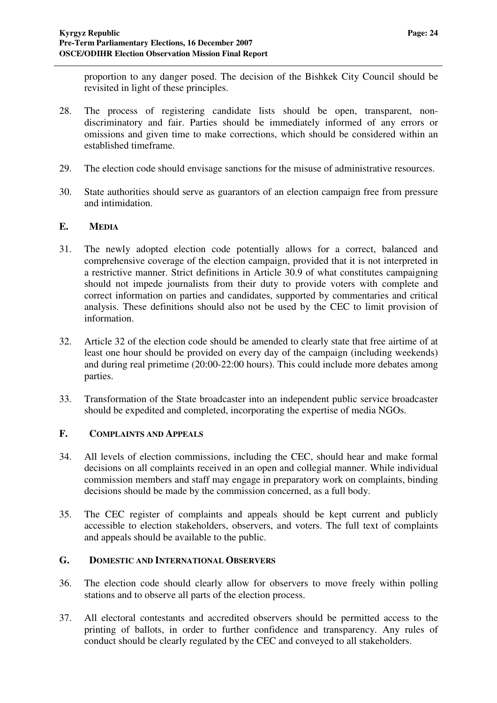proportion to any danger posed. The decision of the Bishkek City Council should be revisited in light of these principles.

- 28. The process of registering candidate lists should be open, transparent, nondiscriminatory and fair. Parties should be immediately informed of any errors or omissions and given time to make corrections, which should be considered within an established timeframe.
- 29. The election code should envisage sanctions for the misuse of administrative resources.
- 30. State authorities should serve as guarantors of an election campaign free from pressure and intimidation.

#### **E. MEDIA**

- 31. The newly adopted election code potentially allows for a correct, balanced and comprehensive coverage of the election campaign, provided that it is not interpreted in a restrictive manner. Strict definitions in Article 30.9 of what constitutes campaigning should not impede journalists from their duty to provide voters with complete and correct information on parties and candidates, supported by commentaries and critical analysis. These definitions should also not be used by the CEC to limit provision of information.
- 32. Article 32 of the election code should be amended to clearly state that free airtime of at least one hour should be provided on every day of the campaign (including weekends) and during real primetime (20:00-22:00 hours). This could include more debates among parties.
- 33. Transformation of the State broadcaster into an independent public service broadcaster should be expedited and completed, incorporating the expertise of media NGOs.

#### **F. COMPLAINTS AND APPEALS**

- 34. All levels of election commissions, including the CEC, should hear and make formal decisions on all complaints received in an open and collegial manner. While individual commission members and staff may engage in preparatory work on complaints, binding decisions should be made by the commission concerned, as a full body.
- 35. The CEC register of complaints and appeals should be kept current and publicly accessible to election stakeholders, observers, and voters. The full text of complaints and appeals should be available to the public.

#### **G. DOMESTIC AND INTERNATIONAL OBSERVERS**

- 36. The election code should clearly allow for observers to move freely within polling stations and to observe all parts of the election process.
- 37. All electoral contestants and accredited observers should be permitted access to the printing of ballots, in order to further confidence and transparency. Any rules of conduct should be clearly regulated by the CEC and conveyed to all stakeholders.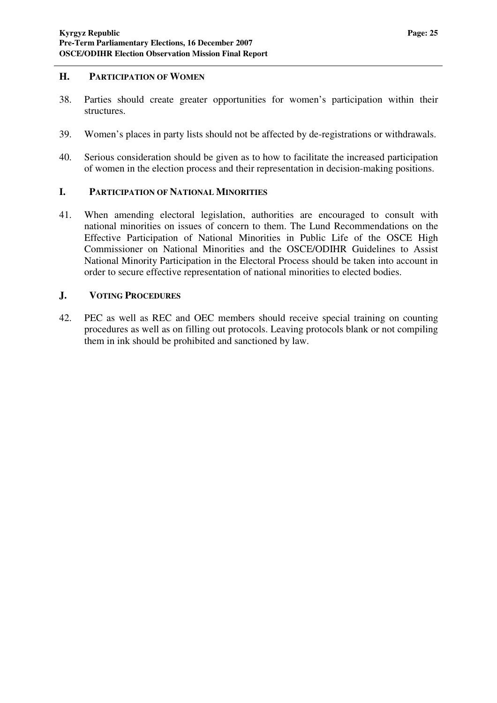#### **H. PARTICIPATION OF WOMEN**

- 38. Parties should create greater opportunities for women's participation within their structures.
- 39. Women's places in party lists should not be affected by de-registrations or withdrawals.
- 40. Serious consideration should be given as to how to facilitate the increased participation of women in the election process and their representation in decision-making positions.

#### **I. PARTICIPATION OF NATIONAL MINORITIES**

41. When amending electoral legislation, authorities are encouraged to consult with national minorities on issues of concern to them. The Lund Recommendations on the Effective Participation of National Minorities in Public Life of the OSCE High Commissioner on National Minorities and the OSCE/ODIHR Guidelines to Assist National Minority Participation in the Electoral Process should be taken into account in order to secure effective representation of national minorities to elected bodies.

#### **J. VOTING PROCEDURES**

42. PEC as well as REC and OEC members should receive special training on counting procedures as well as on filling out protocols. Leaving protocols blank or not compiling them in ink should be prohibited and sanctioned by law.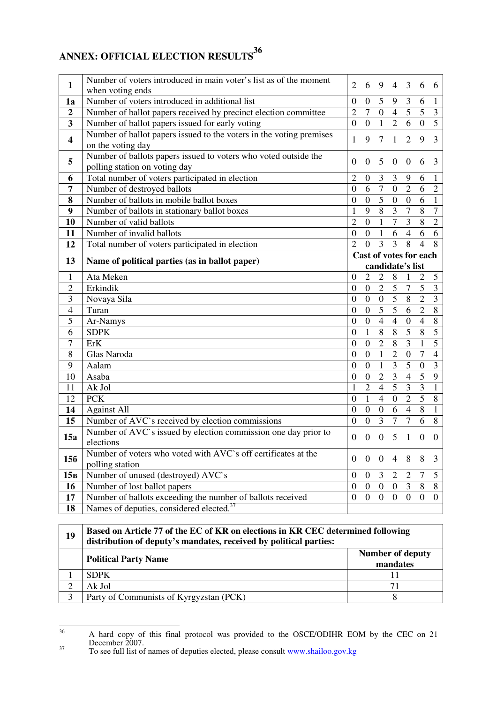## **ANNEX: OFFICIAL ELECTION RESULTS 36**

|                         | Number of voters introduced in main voter's list as of the moment                                                  |                                  | 6                |                                  |                  |                         |                  |                         |
|-------------------------|--------------------------------------------------------------------------------------------------------------------|----------------------------------|------------------|----------------------------------|------------------|-------------------------|------------------|-------------------------|
| $\mathbf{1}$            | when voting ends                                                                                                   | 2                                |                  | 9                                | $\overline{4}$   | 3                       | 6                | 6                       |
| 1a                      | Number of voters introduced in additional list                                                                     |                                  |                  | 5                                | 9                | $\mathfrak{Z}$          | 6                | $\mathbf{1}$            |
| $\boldsymbol{2}$        | Number of ballot papers received by precinct election committee                                                    |                                  |                  |                                  | $\overline{4}$   | $\overline{5}$          | $\overline{5}$   | $\overline{\mathbf{3}}$ |
| $\overline{\mathbf{3}}$ | Number of ballot papers issued for early voting                                                                    | $\overline{2}$<br>$\overline{0}$ | $\overline{0}$   | $\overline{0}$<br>$\overline{1}$ | $\overline{2}$   | $\overline{6}$          | $\overline{0}$   | $\overline{5}$          |
|                         | Number of ballot papers issued to the voters in the voting premises                                                |                                  |                  |                                  |                  |                         |                  |                         |
| $\overline{\mathbf{4}}$ | on the voting day                                                                                                  | 1                                | 9                | $\tau$                           | $\mathbf{1}$     | $\overline{2}$          | 9                | 3                       |
| 5                       | Number of ballots papers issued to voters who voted outside the                                                    |                                  |                  |                                  |                  |                         |                  |                         |
|                         | polling station on voting day                                                                                      | $\theta$                         | $\boldsymbol{0}$ | 5                                | $\mathbf{0}$     | $\boldsymbol{0}$        | 6                | 3                       |
| 6                       | Total number of voters participated in election                                                                    | $\overline{2}$                   | $\boldsymbol{0}$ | $\mathfrak{Z}$                   | 3                | 9                       | 6                | $\mathbf{1}$            |
| 7                       | Number of destroyed ballots                                                                                        | $\boldsymbol{0}$                 | 6                | $\boldsymbol{7}$                 | $\boldsymbol{0}$ | $\overline{2}$          | 6                | $\mathbf{2}$            |
| 8                       | Number of ballots in mobile ballot boxes                                                                           | $\theta$                         | $\overline{0}$   | $\overline{5}$                   | $\overline{0}$   | $\overline{0}$          | 6                | $\mathbf{1}$            |
| 9                       | Number of ballots in stationary ballot boxes                                                                       | $\mathbf{1}$                     | 9                | $\overline{8}$                   | 3                | $\overline{7}$          | $\overline{8}$   | $\overline{7}$          |
| 10                      | Number of valid ballots                                                                                            | $\overline{2}$                   | $\overline{0}$   | $\mathbf{1}$                     | $\overline{7}$   | $\overline{3}$          | 8                | $\overline{2}$          |
| 11                      | Number of invalid ballots                                                                                          | $\overline{0}$                   | $\boldsymbol{0}$ | $\mathbf{1}$                     | 6                | $\overline{4}$          | 6                | 6                       |
| 12                      | Total number of voters participated in election                                                                    | $\overline{2}$                   | $\overline{0}$   | 3                                | 3                | 8                       | $\overline{4}$   | 8                       |
| 13                      |                                                                                                                    | Cast of votes for each           |                  |                                  |                  |                         |                  |                         |
|                         | Name of political parties (as in ballot paper)                                                                     |                                  |                  |                                  |                  | candidate's list        |                  |                         |
| $\mathbf{1}$            | Ata Meken                                                                                                          | $\overline{0}$                   | $\overline{2}$   | $\overline{2}$                   | 8                | $\mathbf{1}$            | $\overline{2}$   | 5                       |
| $\overline{2}$          | Erkindik                                                                                                           | $\boldsymbol{0}$                 | $\boldsymbol{0}$ | $\overline{2}$                   | $\overline{5}$   | $\overline{7}$          | $\overline{5}$   | $\overline{3}$          |
|                         |                                                                                                                    |                                  |                  |                                  |                  |                         |                  |                         |
| 3                       | Novaya Sila                                                                                                        | $\boldsymbol{0}$                 | $\boldsymbol{0}$ | $\boldsymbol{0}$                 | $5\overline{)}$  | 8                       | $\overline{2}$   | $\overline{3}$          |
| $\overline{4}$          | Turan                                                                                                              | $\overline{0}$                   | $\overline{0}$   | $\overline{5}$                   | $\overline{5}$   | $\overline{6}$          | $\overline{2}$   | $\overline{8}$          |
| 5                       | Ar-Namys                                                                                                           | $\boldsymbol{0}$                 | $\overline{0}$   | $\overline{4}$                   | $\overline{4}$   | $\overline{0}$          | $\overline{4}$   | $\overline{8}$          |
| 6                       | <b>SDPK</b>                                                                                                        | $\boldsymbol{0}$                 | $\mathbf{1}$     | $\overline{8}$                   | $\overline{8}$   | $\overline{5}$          | $\overline{8}$   | $\overline{5}$          |
| $\overline{7}$          | ErK                                                                                                                | $\overline{0}$                   | $\boldsymbol{0}$ | $\overline{2}$                   | 8                | $\overline{\mathbf{3}}$ | $\mathbf{1}$     | $\overline{5}$          |
| $8\,$                   | Glas Naroda                                                                                                        | $\boldsymbol{0}$                 | $\boldsymbol{0}$ | $\mathbf{1}$                     | $\overline{2}$   | $\boldsymbol{0}$        | $\boldsymbol{7}$ | $\overline{4}$          |
| 9                       | Aalam                                                                                                              | $\overline{0}$                   | $\boldsymbol{0}$ | $\mathbf{1}$                     | 3                | $\overline{5}$          | $\mathbf{0}$     | 3                       |
| 10                      | Asaba                                                                                                              | $\mathbf{0}$                     | $\boldsymbol{0}$ | $\overline{2}$                   | $\overline{3}$   | $\overline{4}$          | $\overline{5}$   | $\overline{9}$          |
| 11                      | Ak Jol                                                                                                             | $\mathbf{1}$                     | $\overline{2}$   | $\overline{4}$                   | $\overline{5}$   | $\overline{3}$          | $\overline{3}$   | $\overline{1}$          |
| 12                      | <b>PCK</b>                                                                                                         | $\overline{0}$                   | $\mathbf{1}$     | $\overline{4}$                   | $\overline{0}$   | $\overline{2}$          | 5                | 8                       |
| 14                      | <b>Against All</b>                                                                                                 | $\Omega$                         | $\boldsymbol{0}$ | $\boldsymbol{0}$                 | 6                | $\overline{4}$          | $\, 8$           | $\mathbf{1}$            |
| 15                      | Number of AVC's received by election commissions                                                                   | $\overline{0}$                   | $\overline{0}$   | $\overline{3}$                   | $\overline{7}$   | $\overline{7}$          | 6                | $\overline{8}$          |
|                         | Number of AVC's issued by election commission one day prior to                                                     |                                  |                  |                                  |                  |                         |                  |                         |
| 15a                     | elections                                                                                                          | $\overline{0}$                   | $\overline{0}$   | $\boldsymbol{0}$                 | 5                | $\mathbf{1}$            | $\overline{0}$   | $\overline{0}$          |
|                         | Number of voters who voted with AVC's off certificates at the                                                      |                                  |                  |                                  |                  |                         |                  |                         |
| 156                     | polling station                                                                                                    | $\overline{0}$                   | $\boldsymbol{0}$ | $\overline{0}$                   | 4                | 8                       | 8                | 3                       |
| 15 <sub>B</sub>         | Number of unused (destroyed) AVC`s                                                                                 | $\overline{0}$                   | $\boldsymbol{0}$ | 3                                | $\overline{2}$   | $\mathfrak{2}$          | $\tau$           | 5                       |
| 16                      | Number of lost ballot papers                                                                                       | $\mathbf{0}$                     | $\boldsymbol{0}$ | $\boldsymbol{0}$                 | $\overline{0}$   | 3                       | 8                | 8                       |
| 17<br>18                | Number of ballots exceeding the number of ballots received<br>Names of deputies, considered elected. <sup>37</sup> | $\boldsymbol{0}$                 | $\boldsymbol{0}$ | $\boldsymbol{0}$                 | $\mathbf{0}$     | $\boldsymbol{0}$        | $\overline{0}$   | $\mathbf{0}$            |

| 19 | Based on Article 77 of the EC of KR on elections in KR CEC determined following<br>distribution of deputy's mandates, received by political parties: |                                     |  |  |  |
|----|------------------------------------------------------------------------------------------------------------------------------------------------------|-------------------------------------|--|--|--|
|    | <b>Political Party Name</b>                                                                                                                          | <b>Number of deputy</b><br>mandates |  |  |  |
|    | <b>SDPK</b>                                                                                                                                          |                                     |  |  |  |
|    | Ak Jol                                                                                                                                               | 71                                  |  |  |  |
| 3  | Party of Communists of Kyrgyzstan (PCK)                                                                                                              |                                     |  |  |  |

<sup>&</sup>lt;sup>36</sup> A hard copy of this final protocol was provided to the OSCE/ODIHR EOM by the CEC on 21 December 2007.

<sup>&</sup>lt;sup>37</sup> To see full list of names of deputies elected, please consult www.shailoo.gov.kg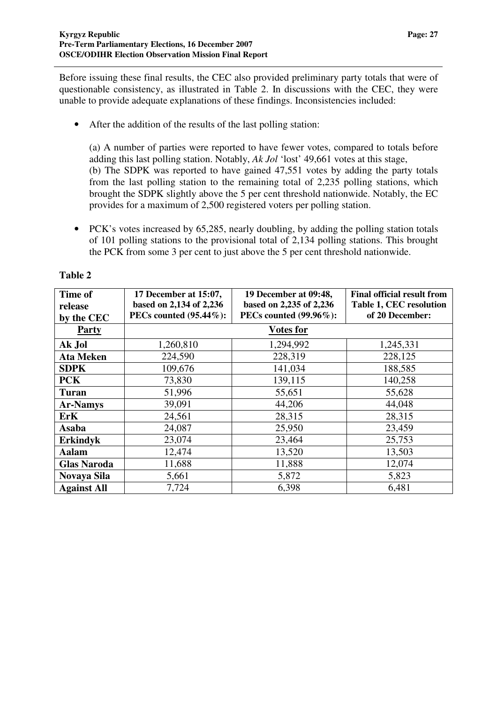Before issuing these final results, the CEC also provided preliminary party totals that were of questionable consistency, as illustrated in Table 2. In discussions with the CEC, they were unable to provide adequate explanations of these findings. Inconsistencies included:

• After the addition of the results of the last polling station:

(a) A number of parties were reported to have fewer votes, compared to totals before adding this last polling station. Notably, *Ak Jol* 'lost' 49,661 votes at this stage, (b) The SDPK was reported to have gained 47,551 votes by adding the party totals from the last polling station to the remaining total of 2,235 polling stations, which brought the SDPK slightly above the 5 per cent threshold nationwide. Notably, the EC provides for a maximum of 2,500 registered voters per polling station.

• PCK's votes increased by 65,285, nearly doubling, by adding the polling station totals of 101 polling stations to the provisional total of 2,134 polling stations. This brought the PCK from some 3 per cent to just above the 5 per cent threshold nationwide.

| Time of<br>release | 17 December at 15:07,<br>based on 2,134 of 2,236 | 19 December at 09:48,<br>based on 2,235 of 2,236 | <b>Final official result from</b><br>Table 1, CEC resolution |
|--------------------|--------------------------------------------------|--------------------------------------------------|--------------------------------------------------------------|
| by the CEC         | <b>PECs counted (95.44%):</b>                    | <b>PECs counted (99.96%):</b>                    | of 20 December:                                              |
| <b>Party</b>       |                                                  | <b>Votes for</b>                                 |                                                              |
| Ak Jol             | 1,260,810                                        | 1,294,992                                        | 1,245,331                                                    |
| <b>Ata Meken</b>   | 224,590                                          | 228,319                                          | 228,125                                                      |
| <b>SDPK</b>        | 109,676                                          | 141,034                                          | 188,585                                                      |
| <b>PCK</b>         | 73,830                                           | 139,115                                          | 140,258                                                      |
| <b>Turan</b>       | 51,996                                           | 55,651                                           | 55,628                                                       |
| <b>Ar-Namys</b>    | 39,091                                           | 44,206                                           | 44,048                                                       |
| <b>ErK</b>         | 24,561                                           | 28,315                                           | 28,315                                                       |
| Asaba              | 24,087                                           | 25,950                                           | 23,459                                                       |
| <b>Erkindyk</b>    | 23,074                                           | 23,464                                           | 25,753                                                       |
| Aalam              | 12,474                                           | 13,520                                           | 13,503                                                       |
| <b>Glas Naroda</b> | 11,688                                           | 11,888                                           | 12,074                                                       |
| Novaya Sila        | 5,661                                            | 5,872                                            | 5,823                                                        |
| <b>Against All</b> | 7,724                                            | 6,398                                            | 6,481                                                        |

#### **Table 2**